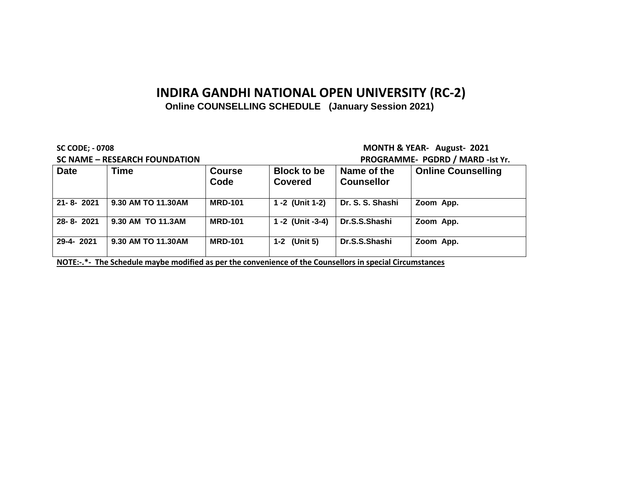### **Online COUNSELLING SCHEDULE (January Session 2021)**

**SC NAME – RESEARCH FOUNDATION PROGRAMME- PGDRD / MARD -Ist Yr.**

**SC CODE; - 0708 MONTH & YEAR- August- 2021**

|                 | 36 IVAIVIL – RESEARCH FOOIVDATION                                                                        |                       | <b>FROGRAMME</b> FGDRD / MARD -ISL II. |                                  |                           |
|-----------------|----------------------------------------------------------------------------------------------------------|-----------------------|----------------------------------------|----------------------------------|---------------------------|
| <b>Date</b>     | <b>Time</b>                                                                                              | <b>Course</b><br>Code | <b>Block to be</b><br><b>Covered</b>   | Name of the<br><b>Counsellor</b> | <b>Online Counselling</b> |
| $21 - 8 - 2021$ | 9.30 AM TO 11.30AM                                                                                       | <b>MRD-101</b>        | 1 -2 (Unit 1-2)                        | Dr. S. S. Shashi                 | Zoom App.                 |
| 28-8-2021       | 9.30 AM TO 11.3AM                                                                                        | <b>MRD-101</b>        | 1 -2 (Unit -3-4)                       | Dr.S.S.Shashi                    | Zoom App.                 |
| 29-4-2021       | 9.30 AM TO 11.30AM                                                                                       | <b>MRD-101</b>        | 1-2 (Unit 5)                           | Dr.S.S.Shashi                    | Zoom App.                 |
|                 | NOTE:-.*- The Schedule maybe modified as per the convenience of the Counsellors in special Circumstances |                       |                                        |                                  |                           |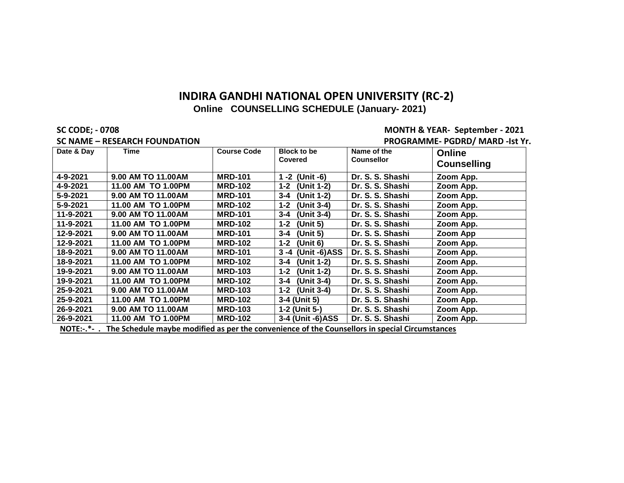#### **SC CODE; - 0708 MONTH & YEAR- September - 2021 SC NAME – RESEARCH FOUNDATION PROGRAMME- PGDRD/ MARD -Ist Yr.**

| Date & Day | Time                                        | <b>Course Code</b> | <b>Block to be</b><br><b>Covered</b> | Name of the<br><b>Counsellor</b>                   | <b>Online</b><br><b>Counselling</b> |
|------------|---------------------------------------------|--------------------|--------------------------------------|----------------------------------------------------|-------------------------------------|
| 4-9-2021   | 9.00 AM TO 11.00 AM                         | <b>MRD-101</b>     | 1 -2 (Unit -6)                       | Dr. S. S. Shashi                                   | Zoom App.                           |
| 4-9-2021   | 11.00 AM TO 1.00PM                          | <b>MRD-102</b>     | (Unit 1-2)<br>$1 - 2$                | Dr. S. S. Shashi                                   | Zoom App.                           |
| 5-9-2021   | 9.00 AM TO 11.00AM                          | <b>MRD-101</b>     | (Unit 1-2)<br>$3 - 4$                | Dr. S. S. Shashi                                   | Zoom App.                           |
| 5-9-2021   | 11.00 AM TO 1.00PM                          | <b>MRD-102</b>     | $1 - 2$<br>(Unit 3-4)                | Dr. S. S. Shashi                                   | Zoom App.                           |
| 11-9-2021  | 9.00 AM TO 11.00AM                          | <b>MRD-101</b>     | (Unit 3-4)<br>$3 - 4$                | Dr. S. S. Shashi                                   | Zoom App.                           |
| 11-9-2021  | 11.00 AM TO 1.00PM                          | <b>MRD-102</b>     | (Unit 5)<br>$1 - 2$                  | Dr. S. S. Shashi                                   | Zoom App.                           |
| 12-9-2021  | 9.00 AM TO 11.00AM                          | <b>MRD-101</b>     | (Unit 5)<br>$3 - 4$                  | Dr. S. S. Shashi                                   | Zoom App                            |
| 12-9-2021  | 11.00 AM TO 1.00PM                          | <b>MRD-102</b>     | (Unit 6)<br>$1 - 2$                  | Dr. S. S. Shashi                                   | Zoom App.                           |
| 18-9-2021  | 9.00 AM TO 11.00AM                          | <b>MRD-101</b>     | 3 -4 (Unit -6)ASS                    | Dr. S. S. Shashi                                   | Zoom App.                           |
| 18-9-2021  | 11.00 AM TO 1.00PM                          | <b>MRD-102</b>     | (Unit 1-2)<br>$3 - 4$                | Dr. S. S. Shashi                                   | Zoom App.                           |
| 19-9-2021  | 9.00 AM TO 11.00 AM                         | <b>MRD-103</b>     | (Unit 1-2)<br>$1 - 2$                | Dr. S. S. Shashi                                   | Zoom App.                           |
| 19-9-2021  | 11.00 AM TO 1.00PM                          | <b>MRD-102</b>     | (Unit 3-4)<br>$3 - 4$                | Dr. S. S. Shashi                                   | Zoom App.                           |
| 25-9-2021  | 9.00 AM TO 11.00AM                          | <b>MRD-103</b>     | 1-2 (Unit 3-4)                       | Dr. S. S. Shashi                                   | Zoom App.                           |
| 25-9-2021  | 11.00 AM TO 1.00PM                          | <b>MRD-102</b>     | 3-4 (Unit 5)                         | Dr. S. S. Shashi                                   | Zoom App.                           |
| 26-9-2021  | 9.00 AM TO 11.00 AM                         | <b>MRD-103</b>     | 1-2 (Unit 5-)                        | Dr. S. S. Shashi                                   | Zoom App.                           |
| 26-9-2021  | 11.00 AM TO 1.00PM                          | <b>MRD-102</b>     | 3-4 (Unit -6)ASS                     | Dr. S. S. Shashi                                   | Zoom App.                           |
| $NOTF.$ *  | The Cehedule meube medified es nouthe semic |                    |                                      | stanaa af tha Carmaallana in anaatal Cinarmatanaaa |                                     |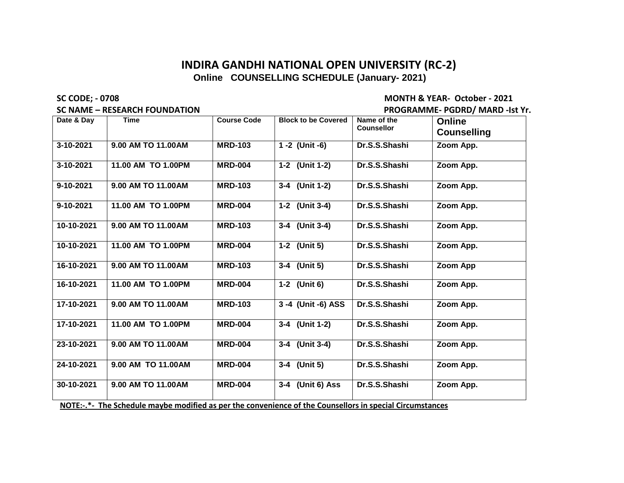#### **SC NAME – RESEARCH FOUNDATION PROGRAMME- PGDRD/ MARD -Ist Yr.**

**SC CODE; - 0708 MONTH & YEAR- October - 2021**

| Date & Dav | <b>Time</b>                                                                                              | <b>Course Code</b> | <b>Block to be Covered</b> | Name of the       |                    |
|------------|----------------------------------------------------------------------------------------------------------|--------------------|----------------------------|-------------------|--------------------|
|            |                                                                                                          |                    |                            | <b>Counsellor</b> | <b>Online</b>      |
|            |                                                                                                          |                    |                            |                   | <b>Counselling</b> |
| 3-10-2021  | 9.00 AM TO 11.00 AM                                                                                      | <b>MRD-103</b>     | 1 -2 (Unit -6)             | Dr.S.S.Shashi     | Zoom App.          |
| 3-10-2021  | 11.00 AM TO 1.00PM                                                                                       | <b>MRD-004</b>     | 1-2 (Unit 1-2)             | Dr.S.S.Shashi     | Zoom App.          |
| 9-10-2021  | 9.00 AM TO 11.00 AM                                                                                      | <b>MRD-103</b>     | 3-4 (Unit 1-2)             | Dr.S.S.Shashi     | Zoom App.          |
| 9-10-2021  | 11.00 AM TO 1.00PM                                                                                       | <b>MRD-004</b>     | 1-2 (Unit 3-4)             | Dr.S.S.Shashi     | Zoom App.          |
| 10-10-2021 | 9.00 AM TO 11.00 AM                                                                                      | <b>MRD-103</b>     | 3-4 (Unit 3-4)             | Dr.S.S.Shashi     | Zoom App.          |
| 10-10-2021 | 11.00 AM TO 1.00PM                                                                                       | <b>MRD-004</b>     | 1-2 (Unit 5)               | Dr.S.S.Shashi     | Zoom App.          |
| 16-10-2021 | 9.00 AM TO 11.00AM                                                                                       | <b>MRD-103</b>     | 3-4 (Unit 5)               | Dr.S.S.Shashi     | Zoom App           |
| 16-10-2021 | 11.00 AM TO 1.00PM                                                                                       | <b>MRD-004</b>     | 1-2 (Unit 6)               | Dr.S.S.Shashi     | Zoom App.          |
| 17-10-2021 | 9.00 AM TO 11.00 AM                                                                                      | <b>MRD-103</b>     | 3-4 (Unit -6) ASS          | Dr.S.S.Shashi     | Zoom App.          |
| 17-10-2021 | 11.00 AM TO 1.00PM                                                                                       | <b>MRD-004</b>     | 3-4 (Unit 1-2)             | Dr.S.S.Shashi     | Zoom App.          |
| 23-10-2021 | 9.00 AM TO 11.00 AM                                                                                      | <b>MRD-004</b>     | 3-4 (Unit 3-4)             | Dr.S.S.Shashi     | Zoom App.          |
| 24-10-2021 | 9.00 AM TO 11.00 AM                                                                                      | <b>MRD-004</b>     | 3-4 (Unit 5)               | Dr.S.S.Shashi     | Zoom App.          |
| 30-10-2021 | 9.00 AM TO 11.00 AM                                                                                      | <b>MRD-004</b>     | 3-4 (Unit 6) Ass           | Dr.S.S.Shashi     | Zoom App.          |
|            | NOTE:-.*- The Schedule maybe modified as per the convenience of the Counsellors in special Circumstances |                    |                            |                   |                    |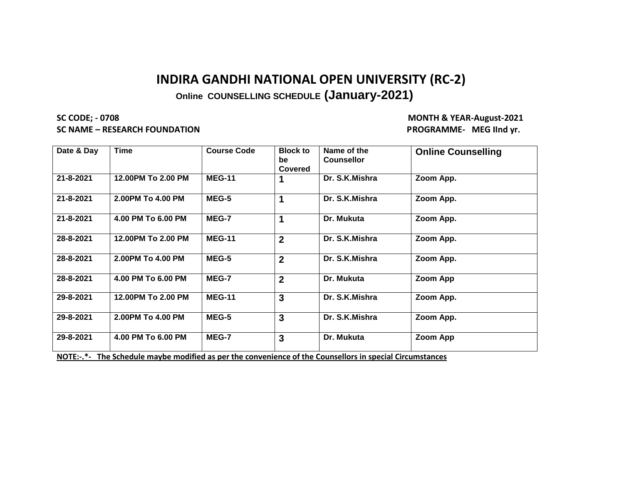**Online COUNSELLING SCHEDULE (January-2021)** 

**SC CODE; - 0708 MONTH & YEAR-August-2021 SC NAME – RESEARCH FOUNDATION PROGRAMME- MEG IInd yr.**

| Date & Day | <b>Time</b>        | <b>Course Code</b> | <b>Block to</b><br>be<br><b>Covered</b> | Name of the<br><b>Counsellor</b> | <b>Online Counselling</b> |
|------------|--------------------|--------------------|-----------------------------------------|----------------------------------|---------------------------|
| 21-8-2021  | 12.00PM To 2.00 PM | <b>MEG-11</b>      |                                         | Dr. S.K.Mishra                   | Zoom App.                 |
| 21-8-2021  | 2.00PM To 4.00 PM  | MEG-5              |                                         | Dr. S.K.Mishra                   | Zoom App.                 |
| 21-8-2021  | 4.00 PM To 6.00 PM | MEG-7              |                                         | Dr. Mukuta                       | Zoom App.                 |
| 28-8-2021  | 12.00PM To 2.00 PM | <b>MEG-11</b>      | $\overline{2}$                          | Dr. S.K.Mishra                   | Zoom App.                 |
| 28-8-2021  | 2.00PM To 4.00 PM  | MEG-5              | $\overline{2}$                          | Dr. S.K.Mishra                   | Zoom App.                 |
| 28-8-2021  | 4.00 PM To 6.00 PM | MEG-7              | $\overline{2}$                          | Dr. Mukuta                       | Zoom App                  |
| 29-8-2021  | 12.00PM To 2.00 PM | <b>MEG-11</b>      | 3                                       | Dr. S.K.Mishra                   | Zoom App.                 |
| 29-8-2021  | 2.00PM To 4.00 PM  | MEG-5              | 3                                       | Dr. S.K.Mishra                   | Zoom App.                 |
| 29-8-2021  | 4.00 PM To 6.00 PM | MEG-7              | 3                                       | Dr. Mukuta                       | Zoom App                  |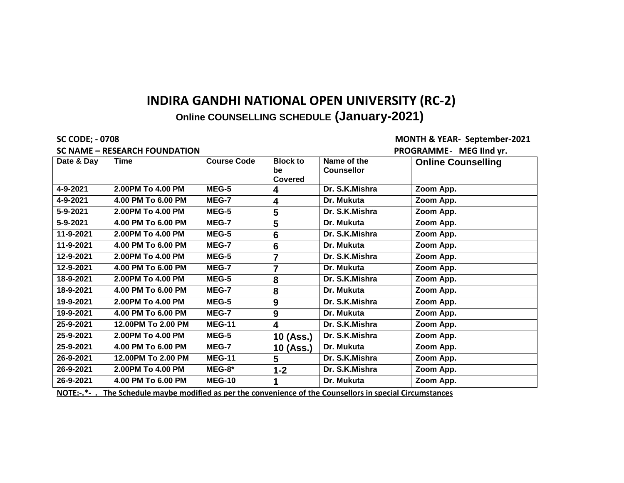**Online COUNSELLING SCHEDULE (January-2021)** 

**SC CODE; - 0708 MONTH & YEAR- September-2021 SC NAME – RESEARCH FOUNDATION PROGRAMME- MEG IInd yr.**

|            | 3C IVAIVIE – NESEANCH FOUNDATION |                    |                                  |                                  | <b>FRUGRAMINIC</b> - IVIEG IIIIU VI. |
|------------|----------------------------------|--------------------|----------------------------------|----------------------------------|--------------------------------------|
| Date & Day | <b>Time</b>                      | <b>Course Code</b> | <b>Block to</b><br>be<br>Covered | Name of the<br><b>Counsellor</b> | <b>Online Counselling</b>            |
| 4-9-2021   | 2.00PM To 4.00 PM                | MEG-5              | 4                                | Dr. S.K.Mishra                   | Zoom App.                            |
| 4-9-2021   | 4.00 PM To 6.00 PM               | MEG-7              | 4                                | Dr. Mukuta                       | Zoom App.                            |
| 5-9-2021   | 2.00PM To 4.00 PM                | MEG-5              | 5                                | Dr. S.K.Mishra                   | Zoom App.                            |
| 5-9-2021   | 4.00 PM To 6.00 PM               | MEG-7              | 5                                | Dr. Mukuta                       | Zoom App.                            |
| 11-9-2021  | 2.00PM To 4.00 PM                | MEG-5              | $6\phantom{1}6$                  | Dr. S.K.Mishra                   | Zoom App.                            |
| 11-9-2021  | 4.00 PM To 6.00 PM               | MEG-7              | 6                                | Dr. Mukuta                       | Zoom App.                            |
| 12-9-2021  | 2.00PM To 4.00 PM                | MEG-5              | $\overline{7}$                   | Dr. S.K.Mishra                   | Zoom App.                            |
| 12-9-2021  | 4.00 PM To 6.00 PM               | MEG-7              | $\overline{7}$                   | Dr. Mukuta                       | Zoom App.                            |
| 18-9-2021  | 2.00PM To 4.00 PM                | MEG-5              | 8                                | Dr. S.K.Mishra                   | Zoom App.                            |
| 18-9-2021  | 4.00 PM To 6.00 PM               | MEG-7              | 8                                | Dr. Mukuta                       | Zoom App.                            |
| 19-9-2021  | 2.00PM To 4.00 PM                | MEG-5              | 9                                | Dr. S.K.Mishra                   | Zoom App.                            |
| 19-9-2021  | 4.00 PM To 6.00 PM               | MEG-7              | 9                                | Dr. Mukuta                       | Zoom App.                            |
| 25-9-2021  | 12.00PM To 2.00 PM               | <b>MEG-11</b>      | $\overline{\mathbf{4}}$          | Dr. S.K.Mishra                   | Zoom App.                            |
| 25-9-2021  | 2.00PM To 4.00 PM                | MEG-5              | 10 (Ass.)                        | Dr. S.K.Mishra                   | Zoom App.                            |
| 25-9-2021  | 4.00 PM To 6.00 PM               | MEG-7              | 10 (Ass.)                        | Dr. Mukuta                       | Zoom App.                            |
| 26-9-2021  | 12.00PM To 2.00 PM               | <b>MEG-11</b>      | $5\phantom{.0}$                  | Dr. S.K.Mishra                   | Zoom App.                            |
| 26-9-2021  | 2.00PM To 4.00 PM                | MEG-8*             | $1 - 2$                          | Dr. S.K.Mishra                   | Zoom App.                            |
| 26-9-2021  | 4.00 PM To 6.00 PM               | <b>MEG-10</b>      |                                  | Dr. Mukuta                       | Zoom App.                            |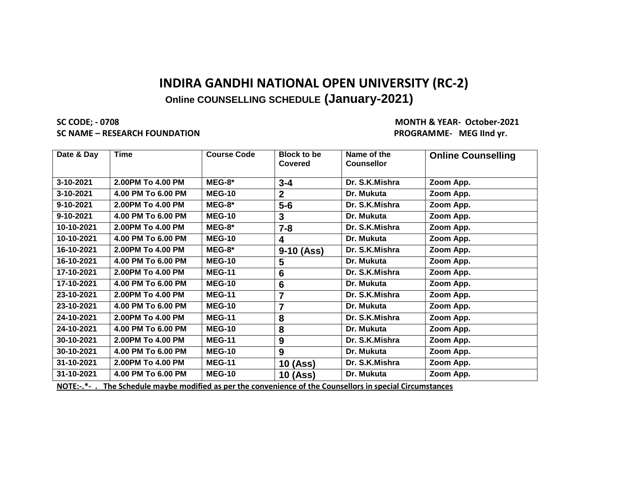**SC CODE; - 0708 MONTH & YEAR- October-2021 SC NAME – RESEARCH FOUNDATION PROGRAMME- MEG IInd yr.** 

| Date & Day | <b>Time</b>        | <b>Course Code</b> | <b>Block to be</b><br><b>Covered</b> | Name of the<br><b>Counsellor</b> | <b>Online Counselling</b> |
|------------|--------------------|--------------------|--------------------------------------|----------------------------------|---------------------------|
| 3-10-2021  | 2.00PM To 4.00 PM  | $MEG-8*$           | $3 - 4$                              | Dr. S.K.Mishra                   | Zoom App.                 |
| 3-10-2021  | 4.00 PM To 6.00 PM | <b>MEG-10</b>      | $\overline{2}$                       | Dr. Mukuta                       | Zoom App.                 |
| 9-10-2021  | 2.00PM To 4.00 PM  | $MEG-8*$           | $5-6$                                | Dr. S.K.Mishra                   | Zoom App.                 |
| 9-10-2021  | 4.00 PM To 6.00 PM | <b>MEG-10</b>      | $\mathbf{3}$                         | Dr. Mukuta                       | Zoom App.                 |
| 10-10-2021 | 2.00PM To 4.00 PM  | $MEG-8*$           | $7 - 8$                              | Dr. S.K.Mishra                   | Zoom App.                 |
| 10-10-2021 | 4.00 PM To 6.00 PM | <b>MEG-10</b>      | 4                                    | Dr. Mukuta                       | Zoom App.                 |
| 16-10-2021 | 2.00PM To 4.00 PM  | $MEG-8*$           | $9-10$ (Ass)                         | Dr. S.K.Mishra                   | Zoom App.                 |
| 16-10-2021 | 4.00 PM To 6.00 PM | <b>MEG-10</b>      | 5                                    | Dr. Mukuta                       | Zoom App.                 |
| 17-10-2021 | 2.00PM To 4.00 PM  | <b>MEG-11</b>      | 6                                    | Dr. S.K.Mishra                   | Zoom App.                 |
| 17-10-2021 | 4.00 PM To 6.00 PM | <b>MEG-10</b>      | 6                                    | Dr. Mukuta                       | Zoom App.                 |
| 23-10-2021 | 2.00PM To 4.00 PM  | <b>MEG-11</b>      | $\overline{7}$                       | Dr. S.K.Mishra                   | Zoom App.                 |
| 23-10-2021 | 4.00 PM To 6.00 PM | <b>MEG-10</b>      | $\overline{7}$                       | Dr. Mukuta                       | Zoom App.                 |
| 24-10-2021 | 2.00PM To 4.00 PM  | <b>MEG-11</b>      | 8                                    | Dr. S.K.Mishra                   | Zoom App.                 |
| 24-10-2021 | 4.00 PM To 6.00 PM | <b>MEG-10</b>      | 8                                    | Dr. Mukuta                       | Zoom App.                 |
| 30-10-2021 | 2.00PM To 4.00 PM  | <b>MEG-11</b>      | 9                                    | Dr. S.K.Mishra                   | Zoom App.                 |
| 30-10-2021 | 4.00 PM To 6.00 PM | <b>MEG-10</b>      | 9                                    | Dr. Mukuta                       | Zoom App.                 |
| 31-10-2021 | 2.00PM To 4.00 PM  | <b>MEG-11</b>      | <b>10 (Ass)</b>                      | Dr. S.K.Mishra                   | Zoom App.                 |
| 31-10-2021 | 4.00 PM To 6.00 PM | <b>MEG-10</b>      | <b>10 (Ass)</b>                      | Dr. Mukuta                       | Zoom App.                 |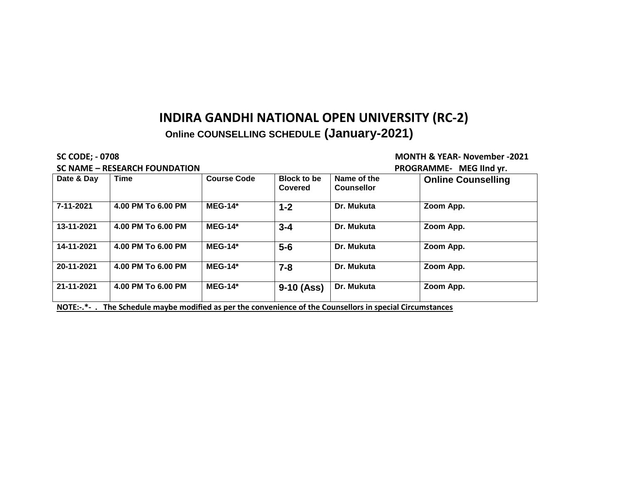#### SC NAME – RESEARCH FOUNDATION **PROGRAMME-** MEG IInd yr.

#### **SC CODE; - 0708 MONTH & YEAR- November -2021**

### **Date & Day Time Course Code Block to be Covered Name of the Counsellor Online Counselling 7-11-2021 4.00 PM To 6.00 PM MEG-14\* 1-2 Dr. Mukuta Zoom App. 13-11-2021 4.00 PM To 6.00 PM MEG-14\* 3-4 Dr. Mukuta Zoom App. 14-11-2021 4.00 PM To 6.00 PM MEG-14\* 5-6 Dr. Mukuta Zoom App. 20-11-2021 4.00 PM To 6.00 PM MEG-14\* 7-8 Dr. Mukuta Zoom App. 21-11-2021 4.00 PM To 6.00 PM MEG-14\* 9-10 (Ass) Dr. Mukuta Zoom App. NOTE:-.\*- . The Schedule maybe modified as per the convenience of the Counsellors in special Circumstances**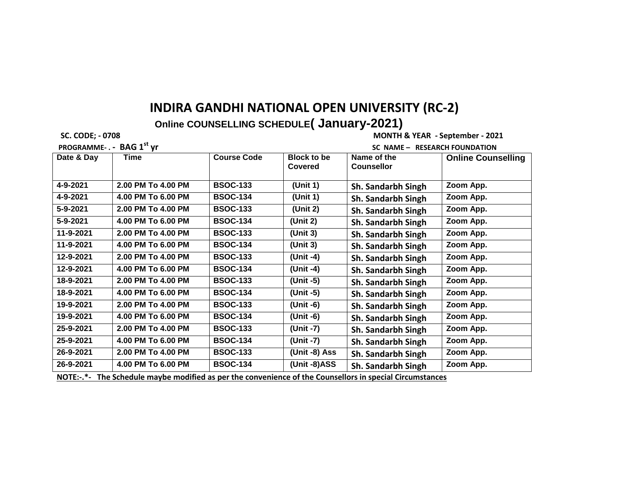**Online COUNSELLING SCHEDULE( January-2021)** 

**PROGRAMME- . - BAG 1st yr SC NAME – RESEARCH FOUNDATION** 

 **SC. CODE; - 0708 MONTH & YEAR - September - 2021**

**Date & Day Time Course Code Block to be Covered Name of the Counsellor Online Counselling 4-9-2021 2.00 PM To 4.00 PM BSOC-133 (Unit 1) Sh. Sandarbh Singh Zoom App. 4-9-2021 4.00 PM To 6.00 PM BSOC-134 (Unit 1) Sh. Sandarbh Singh Zoom App. 5-9-2021 2.00 PM To 4.00 PM BSOC-133 (Unit 2) Sh. Sandarbh Singh Zoom App. 5-9-2021 4.00 PM To 6.00 PM BSOC-134 (Unit 2) Sh. Sandarbh Singh Zoom App. 11-9-2021 2.00 PM To 4.00 PM BSOC-133 (Unit 3) Sh. Sandarbh Singh Zoom App. 11-9-2021 4.00 PM To 6.00 PM BSOC-134 (Unit 3) Sh. Sandarbh Singh Zoom App. 12-9-2021 2.00 PM To 4.00 PM BSOC-133 (Unit -4) Sh. Sandarbh Singh Zoom App. 12-9-2021 4.00 PM To 6.00 PM BSOC-134 (Unit -4) Sh. Sandarbh Singh Zoom App. 18-9-2021 2.00 PM To 4.00 PM BSOC-133 (Unit -5) Sh. Sandarbh Singh Zoom App. 18-9-2021 4.00 PM To 6.00 PM BSOC-134 (Unit -5) Sh. Sandarbh Singh Zoom App. 19-9-2021 2.00 PM To 4.00 PM BSOC-133 (Unit -6) Sh. Sandarbh Singh Zoom App. 19-9-2021 4.00 PM To 6.00 PM BSOC-134 (Unit -6) Sh. Sandarbh Singh Zoom App. 25-9-2021 2.00 PM To 4.00 PM BSOC-133 (Unit -7) Sh. Sandarbh Singh Zoom App. 25-9-2021 4.00 PM To 6.00 PM BSOC-134 (Unit -7) Sh. Sandarbh Singh Zoom App. 26-9-2021 2.00 PM To 4.00 PM BSOC-133 (Unit -8) Ass Sh. Sandarbh Singh Zoom App. 26-9-2021 4.00 PM To 6.00 PM BSOC-134 (Unit -8)ASS Sh. Sandarbh Singh Zoom App.**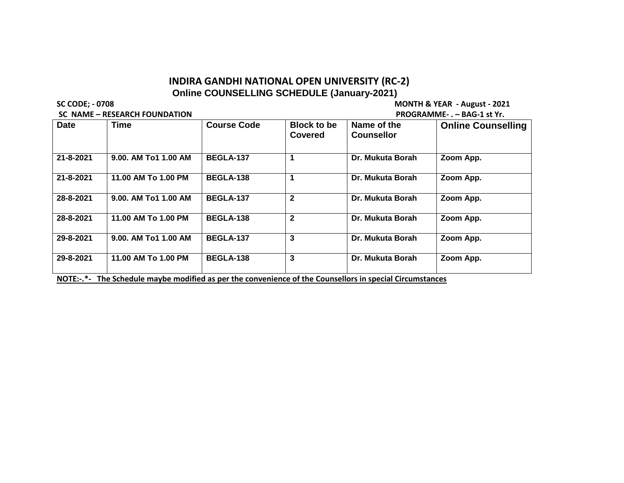**SC NAME – RESEARCH FOUNDATION** 

**SC CODE; - 0708 MONTH & YEAR - August - 2021**

| JL IVAIVIL  | <u>ILJLAILI I VUNDATIVIT</u> | $F$ No quality $F - F - D$ and $F - F - F$ |                               |                                  |                           |  |
|-------------|------------------------------|--------------------------------------------|-------------------------------|----------------------------------|---------------------------|--|
| <b>Date</b> | Time                         | <b>Course Code</b>                         | <b>Block to be</b><br>Covered | Name of the<br><b>Counsellor</b> | <b>Online Counselling</b> |  |
| 21-8-2021   | 9.00. AM To1 1.00 AM         | <b>BEGLA-137</b>                           |                               | Dr. Mukuta Borah                 | Zoom App.                 |  |
| 21-8-2021   | 11.00 AM To 1.00 PM          | <b>BEGLA-138</b>                           |                               | Dr. Mukuta Borah                 | Zoom App.                 |  |
| 28-8-2021   | 9.00. AM To1 1.00 AM         | <b>BEGLA-137</b>                           | $\mathbf{2}$                  | Dr. Mukuta Borah                 | Zoom App.                 |  |
| 28-8-2021   | 11.00 AM To 1.00 PM          | <b>BEGLA-138</b>                           | $\mathbf{2}$                  | Dr. Mukuta Borah                 | Zoom App.                 |  |
| 29-8-2021   | 9.00. AM To1 1.00 AM         | <b>BEGLA-137</b>                           | 3                             | Dr. Mukuta Borah                 | Zoom App.                 |  |
| 29-8-2021   | 11.00 AM To 1.00 PM          | <b>BEGLA-138</b>                           | 3                             | Dr. Mukuta Borah                 | Zoom App.                 |  |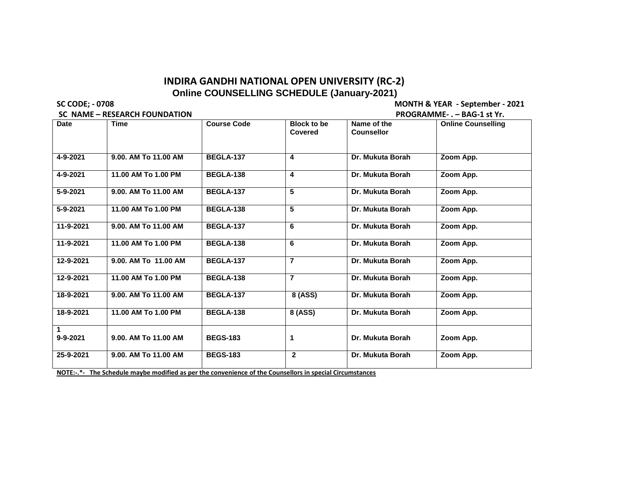**SC NAME – RESEARCH FOUNDATION** 

**SC CODE; - 0708 MONTH & YEAR - September - 2021**

|                         | 36 IVANIE – RESEARCH FOONDATION | r NOGNAMINIL-. – DAG-1 SL III. |                                      |                                  |                           |  |  |  |
|-------------------------|---------------------------------|--------------------------------|--------------------------------------|----------------------------------|---------------------------|--|--|--|
| <b>Date</b>             | <b>Time</b>                     | <b>Course Code</b>             | <b>Block to be</b><br><b>Covered</b> | Name of the<br><b>Counsellor</b> | <b>Online Counselling</b> |  |  |  |
| 4-9-2021                | 9.00. AM To 11.00 AM            | <b>BEGLA-137</b>               | 4                                    | Dr. Mukuta Borah                 | Zoom App.                 |  |  |  |
| 4-9-2021                | 11.00 AM To 1.00 PM             | <b>BEGLA-138</b>               | 4                                    | Dr. Mukuta Borah                 | Zoom App.                 |  |  |  |
| 5-9-2021                | 9.00. AM To 11.00 AM            | BEGLA-137                      | 5                                    | Dr. Mukuta Borah                 | Zoom App.                 |  |  |  |
| 5-9-2021                | 11.00 AM To 1.00 PM             | <b>BEGLA-138</b>               | 5                                    | Dr. Mukuta Borah                 | Zoom App.                 |  |  |  |
| 11-9-2021               | 9.00. AM To 11.00 AM            | <b>BEGLA-137</b>               | 6                                    | Dr. Mukuta Borah                 | Zoom App.                 |  |  |  |
| 11-9-2021               | 11.00 AM To 1.00 PM             | <b>BEGLA-138</b>               | 6                                    | Dr. Mukuta Borah                 | Zoom App.                 |  |  |  |
| 12-9-2021               | 9.00. AM To 11.00 AM            | <b>BEGLA-137</b>               | $\overline{7}$                       | Dr. Mukuta Borah                 | Zoom App.                 |  |  |  |
| 12-9-2021               | 11.00 AM To 1.00 PM             | <b>BEGLA-138</b>               | $\overline{7}$                       | Dr. Mukuta Borah                 | Zoom App.                 |  |  |  |
| 18-9-2021               | 9.00. AM To 11.00 AM            | <b>BEGLA-137</b>               | 8 (ASS)                              | Dr. Mukuta Borah                 | Zoom App.                 |  |  |  |
| 18-9-2021               | 11.00 AM To 1.00 PM             | <b>BEGLA-138</b>               | 8 (ASS)                              | Dr. Mukuta Borah                 | Zoom App.                 |  |  |  |
| $\mathbf 1$<br>9-9-2021 | 9.00. AM To 11.00 AM            | <b>BEGS-183</b>                | 1                                    | Dr. Mukuta Borah                 | Zoom App.                 |  |  |  |
| 25-9-2021               | 9.00. AM To 11.00 AM            | <b>BEGS-183</b>                | $\mathbf{2}$                         | Dr. Mukuta Borah                 | Zoom App.                 |  |  |  |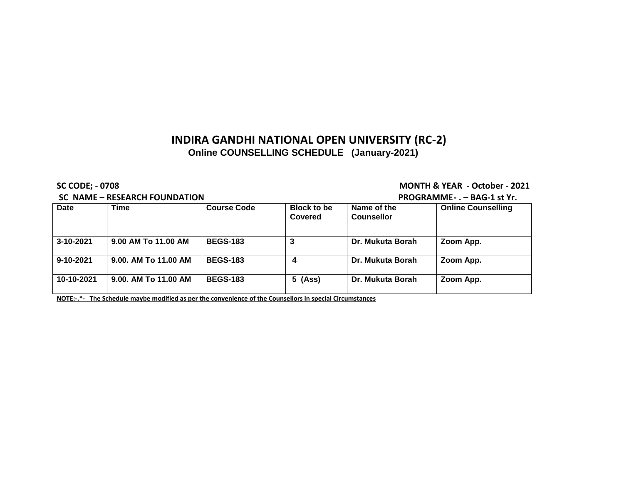#### **SC NAME – RESEARCH FOUNDATION PROGRAMME- . – BAG-1 st Yr.**

**SC CODE; - 0708 MONTH & YEAR - October - 2021**

|                 | $3C$ INAIVIL $\equiv$ REJEARCH I OUNDATION | FINOMINAMINILE . - DAMEL SLIII. |                               |                                  |                           |
|-----------------|--------------------------------------------|---------------------------------|-------------------------------|----------------------------------|---------------------------|
| Date            | Time                                       | <b>Course Code</b>              | <b>Block to be</b><br>Covered | Name of the<br><b>Counsellor</b> | <b>Online Counselling</b> |
| $3 - 10 - 2021$ | 9.00 AM To 11.00 AM                        | <b>BEGS-183</b>                 |                               | Dr. Mukuta Borah                 | Zoom App.                 |
| $9 - 10 - 2021$ | 9.00. AM To 11.00 AM                       | <b>BEGS-183</b>                 | 4                             | Dr. Mukuta Borah                 | Zoom App.                 |
| 10-10-2021      | 9.00. AM To 11.00 AM                       | <b>BEGS-183</b>                 | $5$ (Ass)                     | Dr. Mukuta Borah                 | Zoom App.                 |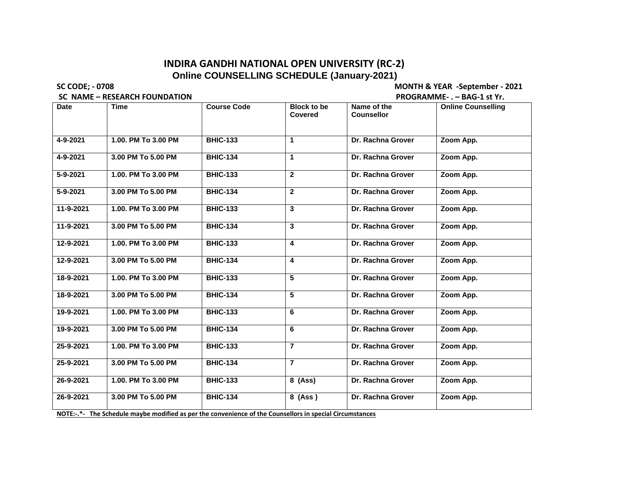**SC NAME – RESEARCH FOUNDATION** 

**SC CODE; - 0708 MONTH & YEAR -September - 2021**

| <b>Date</b> | Time                | <b>Course Code</b> | <b>Block to be</b><br><b>Covered</b> | Name of the<br><b>Counsellor</b> | <b>Online Counselling</b> |
|-------------|---------------------|--------------------|--------------------------------------|----------------------------------|---------------------------|
|             |                     |                    |                                      |                                  |                           |
| 4-9-2021    | 1.00. PM To 3.00 PM | <b>BHIC-133</b>    | 1                                    | Dr. Rachna Grover                | Zoom App.                 |
| 4-9-2021    | 3.00 PM To 5.00 PM  | <b>BHIC-134</b>    | 1                                    | Dr. Rachna Grover                | Zoom App.                 |
| 5-9-2021    | 1.00. PM To 3.00 PM | <b>BHIC-133</b>    | $\overline{2}$                       | Dr. Rachna Grover                | Zoom App.                 |
| 5-9-2021    | 3.00 PM To 5.00 PM  | <b>BHIC-134</b>    | $\mathbf{2}$                         | Dr. Rachna Grover                | Zoom App.                 |
| 11-9-2021   | 1.00. PM To 3.00 PM | <b>BHIC-133</b>    | 3                                    | Dr. Rachna Grover                | Zoom App.                 |
| 11-9-2021   | 3.00 PM To 5.00 PM  | <b>BHIC-134</b>    | 3                                    | Dr. Rachna Grover                | Zoom App.                 |
| 12-9-2021   | 1.00. PM To 3.00 PM | <b>BHIC-133</b>    | 4                                    | Dr. Rachna Grover                | Zoom App.                 |
| 12-9-2021   | 3.00 PM To 5.00 PM  | <b>BHIC-134</b>    | 4                                    | Dr. Rachna Grover                | Zoom App.                 |
| 18-9-2021   | 1.00. PM To 3.00 PM | <b>BHIC-133</b>    | 5                                    | Dr. Rachna Grover                | Zoom App.                 |
| 18-9-2021   | 3.00 PM To 5.00 PM  | <b>BHIC-134</b>    | 5                                    | Dr. Rachna Grover                | Zoom App.                 |
| 19-9-2021   | 1.00. PM To 3.00 PM | <b>BHIC-133</b>    | 6                                    | Dr. Rachna Grover                | Zoom App.                 |
| 19-9-2021   | 3.00 PM To 5.00 PM  | <b>BHIC-134</b>    | 6                                    | Dr. Rachna Grover                | Zoom App.                 |
| 25-9-2021   | 1.00. PM To 3.00 PM | <b>BHIC-133</b>    | $\overline{7}$                       | Dr. Rachna Grover                | Zoom App.                 |
| 25-9-2021   | 3.00 PM To 5.00 PM  | <b>BHIC-134</b>    | $\overline{7}$                       | Dr. Rachna Grover                | Zoom App.                 |
| 26-9-2021   | 1.00. PM To 3.00 PM | <b>BHIC-133</b>    | 8 (Ass)                              | Dr. Rachna Grover                | Zoom App.                 |
| 26-9-2021   | 3.00 PM To 5.00 PM  | <b>BHIC-134</b>    | 8 (Ass)                              | Dr. Rachna Grover                | Zoom App.                 |
|             |                     |                    |                                      |                                  |                           |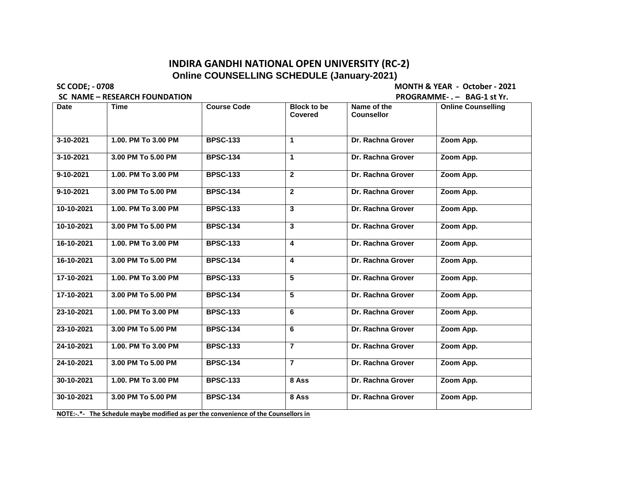**SC CODE; - 0708 MONTH & YEAR - October - 2021**

**SC NAME – RESEARCH FOUNDATION PROGRAMME- . – BAG-1 st Yr. Date Time Course Code Block to be Covered Name of the Counsellor Online Counselling**

| 3-10-2021  | 1.00. PM To 3.00 PM                                                                                                                          | <b>BPSC-133</b> | $\mathbf{1}$            | Dr. Rachna Grover | Zoom App. |  |
|------------|----------------------------------------------------------------------------------------------------------------------------------------------|-----------------|-------------------------|-------------------|-----------|--|
| 3-10-2021  | 3.00 PM To 5.00 PM                                                                                                                           | <b>BPSC-134</b> | $\mathbf 1$             | Dr. Rachna Grover | Zoom App. |  |
| 9-10-2021  | 1.00. PM To 3.00 PM                                                                                                                          | <b>BPSC-133</b> | $\overline{2}$          | Dr. Rachna Grover | Zoom App. |  |
| 9-10-2021  | 3.00 PM To 5.00 PM                                                                                                                           | <b>BPSC-134</b> | $\overline{2}$          | Dr. Rachna Grover | Zoom App. |  |
| 10-10-2021 | 1.00. PM To 3.00 PM                                                                                                                          | <b>BPSC-133</b> | 3                       | Dr. Rachna Grover | Zoom App. |  |
| 10-10-2021 | 3.00 PM To 5.00 PM                                                                                                                           | <b>BPSC-134</b> | 3                       | Dr. Rachna Grover | Zoom App. |  |
| 16-10-2021 | 1.00. PM To 3.00 PM                                                                                                                          | <b>BPSC-133</b> | $\overline{\mathbf{4}}$ | Dr. Rachna Grover | Zoom App. |  |
| 16-10-2021 | 3.00 PM To 5.00 PM                                                                                                                           | <b>BPSC-134</b> | 4                       | Dr. Rachna Grover | Zoom App. |  |
| 17-10-2021 | 1.00. PM To 3.00 PM                                                                                                                          | <b>BPSC-133</b> | 5                       | Dr. Rachna Grover | Zoom App. |  |
| 17-10-2021 | 3.00 PM To 5.00 PM                                                                                                                           | <b>BPSC-134</b> | 5                       | Dr. Rachna Grover | Zoom App. |  |
| 23-10-2021 | 1.00. PM To 3.00 PM                                                                                                                          | <b>BPSC-133</b> | 6                       | Dr. Rachna Grover | Zoom App. |  |
| 23-10-2021 | 3.00 PM To 5.00 PM                                                                                                                           | <b>BPSC-134</b> | 6                       | Dr. Rachna Grover | Zoom App. |  |
| 24-10-2021 | 1.00. PM To 3.00 PM                                                                                                                          | <b>BPSC-133</b> | $\overline{7}$          | Dr. Rachna Grover | Zoom App. |  |
| 24-10-2021 | 3.00 PM To 5.00 PM                                                                                                                           | <b>BPSC-134</b> | $\overline{7}$          | Dr. Rachna Grover | Zoom App. |  |
| 30-10-2021 | 1.00. PM To 3.00 PM                                                                                                                          | <b>BPSC-133</b> | 8 Ass                   | Dr. Rachna Grover | Zoom App. |  |
| 30-10-2021 | 3.00 PM To 5.00 PM                                                                                                                           | <b>BPSC-134</b> | 8 Ass                   | Dr. Rachna Grover | Zoom App. |  |
|            | $\mathbf{M} \oplus \mathbf{T} \oplus \mathbf{R}$ . The first definition of the constitution of the construction of the first description for |                 |                         |                   |           |  |

**NOTE:-.\*- The Schedule maybe modified as per the convenience of the Counsellors in**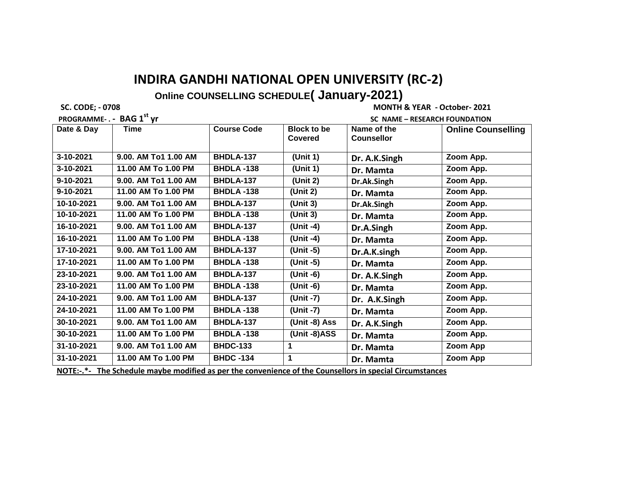**PROGRAMME- . - BAG 1st yr SC NAME – RESEARCH FOUNDATION** 

 **SC. CODE; - 0708 MONTH & YEAR - October- 2021**

| <b>INVUINTIIIILE.</b> | <u>UNU 1 YI</u>      |                    |                    | SC INAINIE RESEARCH I OUNDATION |                           |
|-----------------------|----------------------|--------------------|--------------------|---------------------------------|---------------------------|
| Date & Day            | Time                 | <b>Course Code</b> | <b>Block to be</b> | Name of the                     | <b>Online Counselling</b> |
|                       |                      |                    | Covered            | <b>Counsellor</b>               |                           |
|                       |                      |                    |                    |                                 |                           |
| 3-10-2021             | 9.00. AM To1 1.00 AM | <b>BHDLA-137</b>   | (Unit 1)           | Dr. A.K.Singh                   | Zoom App.                 |
| 3-10-2021             | 11.00 AM To 1.00 PM  | <b>BHDLA -138</b>  | (Unit 1)           | Dr. Mamta                       | Zoom App.                 |
| 9-10-2021             | 9.00. AM To1 1.00 AM | <b>BHDLA-137</b>   | (Unit 2)           | Dr.Ak.Singh                     | Zoom App.                 |
| 9-10-2021             | 11.00 AM To 1.00 PM  | <b>BHDLA -138</b>  | (Unit 2)           | Dr. Mamta                       | Zoom App.                 |
| 10-10-2021            | 9.00. AM To1 1.00 AM | <b>BHDLA-137</b>   | (Unit 3)           | Dr.Ak.Singh                     | Zoom App.                 |
| 10-10-2021            | 11.00 AM To 1.00 PM  | <b>BHDLA -138</b>  | (Unit 3)           | Dr. Mamta                       | Zoom App.                 |
| 16-10-2021            | 9.00. AM To1 1.00 AM | <b>BHDLA-137</b>   | (Unit -4)          | Dr.A.Singh                      | Zoom App.                 |
| 16-10-2021            | 11.00 AM To 1.00 PM  | <b>BHDLA -138</b>  | (Unit -4)          | Dr. Mamta                       | Zoom App.                 |
| 17-10-2021            | 9.00. AM To1 1.00 AM | <b>BHDLA-137</b>   | (Unit -5)          | Dr.A.K.singh                    | Zoom App.                 |
| 17-10-2021            | 11.00 AM To 1.00 PM  | <b>BHDLA -138</b>  | (Unit -5)          | Dr. Mamta                       | Zoom App.                 |
| 23-10-2021            | 9.00. AM To1 1.00 AM | BHDLA-137          | (Unit -6)          | Dr. A.K.Singh                   | Zoom App.                 |
| 23-10-2021            | 11.00 AM To 1.00 PM  | <b>BHDLA -138</b>  | (Unit -6)          | Dr. Mamta                       | Zoom App.                 |
| 24-10-2021            | 9.00. AM To1 1.00 AM | <b>BHDLA-137</b>   | (Unit -7)          | Dr. A.K.Singh                   | Zoom App.                 |
| 24-10-2021            | 11.00 AM To 1.00 PM  | <b>BHDLA -138</b>  | (Unit -7)          | Dr. Mamta                       | Zoom App.                 |
| 30-10-2021            | 9.00. AM To1 1.00 AM | <b>BHDLA-137</b>   | (Unit -8) Ass      | Dr. A.K.Singh                   | Zoom App.                 |
| 30-10-2021            | 11.00 AM To 1.00 PM  | <b>BHDLA -138</b>  | (Unit -8)ASS       | Dr. Mamta                       | Zoom App.                 |
| 31-10-2021            | 9.00. AM To1 1.00 AM | <b>BHDC-133</b>    |                    | Dr. Mamta                       | Zoom App                  |
| 31-10-2021            | 11.00 AM To 1.00 PM  | <b>BHDC -134</b>   | 1                  | Dr. Mamta                       | Zoom App                  |
|                       |                      |                    |                    |                                 |                           |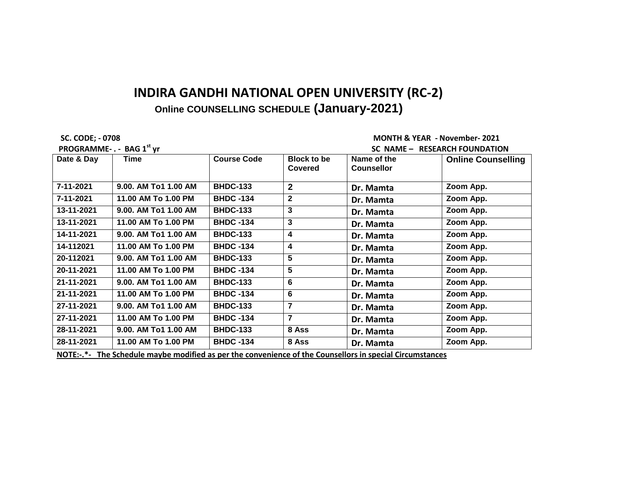**SC. CODE; - 0708 MONTH & YEAR - November- 2021 PROGRAMME - RESEARCH FOUNDATION** 

| Date & Day | Time                 | <b>Course Code</b> | <b>Block to be</b><br><b>Covered</b> | Name of the<br><b>Counsellor</b> | <b>Online Counselling</b> |
|------------|----------------------|--------------------|--------------------------------------|----------------------------------|---------------------------|
| 7-11-2021  | 9.00. AM To1 1.00 AM | <b>BHDC-133</b>    | $\mathbf{2}$                         | Dr. Mamta                        | Zoom App.                 |
| 7-11-2021  | 11.00 AM To 1.00 PM  | <b>BHDC -134</b>   | $\mathbf{2}$                         | Dr. Mamta                        | Zoom App.                 |
| 13-11-2021 | 9.00. AM To1 1.00 AM | <b>BHDC-133</b>    | 3                                    | Dr. Mamta                        | Zoom App.                 |
| 13-11-2021 | 11.00 AM To 1.00 PM  | <b>BHDC -134</b>   | 3                                    | Dr. Mamta                        | Zoom App.                 |
| 14-11-2021 | 9.00. AM To1 1.00 AM | <b>BHDC-133</b>    | 4                                    | Dr. Mamta                        | Zoom App.                 |
| 14-112021  | 11.00 AM To 1.00 PM  | <b>BHDC -134</b>   | 4                                    | Dr. Mamta                        | Zoom App.                 |
| 20-112021  | 9.00. AM To1 1.00 AM | <b>BHDC-133</b>    | 5                                    | Dr. Mamta                        | Zoom App.                 |
| 20-11-2021 | 11.00 AM To 1.00 PM  | <b>BHDC -134</b>   | 5                                    | Dr. Mamta                        | Zoom App.                 |
| 21-11-2021 | 9.00. AM To1 1.00 AM | <b>BHDC-133</b>    | 6                                    | Dr. Mamta                        | Zoom App.                 |
| 21-11-2021 | 11.00 AM To 1.00 PM  | <b>BHDC -134</b>   | 6                                    | Dr. Mamta                        | Zoom App.                 |
| 27-11-2021 | 9.00. AM To1 1.00 AM | <b>BHDC-133</b>    | $\overline{7}$                       | Dr. Mamta                        | Zoom App.                 |
| 27-11-2021 | 11.00 AM To 1.00 PM  | <b>BHDC -134</b>   | $\overline{7}$                       | Dr. Mamta                        | Zoom App.                 |
| 28-11-2021 | 9.00. AM To1 1.00 AM | <b>BHDC-133</b>    | 8 Ass                                | Dr. Mamta                        | Zoom App.                 |
| 28-11-2021 | 11.00 AM To 1.00 PM  | <b>BHDC -134</b>   | 8 Ass                                | Dr. Mamta<br>$\cdots$            | Zoom App.                 |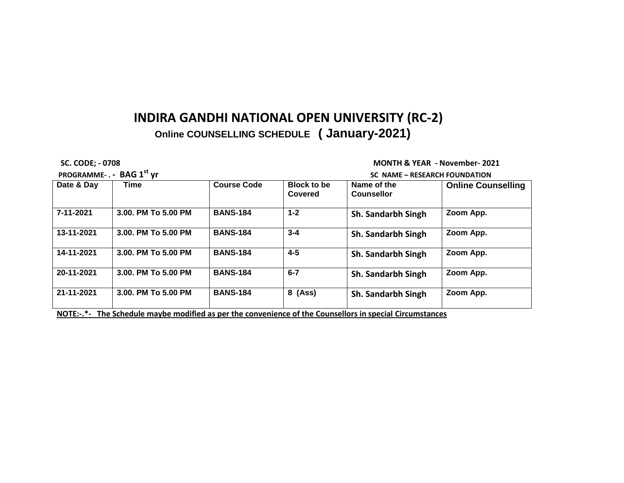**PROGRAMME- . - BAG 1st yr SC NAME – RESEARCH FOUNDATION** 

 **SC. CODE; - 0708 MONTH & YEAR - November- 2021**

| <b>Block to be</b><br>Covered<br>$1 - 2$ | Name of the<br><b>Counsellor</b><br>Sh. Sandarbh Singh | <b>Online Counselling</b><br>Zoom App.                                                                   |
|------------------------------------------|--------------------------------------------------------|----------------------------------------------------------------------------------------------------------|
|                                          |                                                        |                                                                                                          |
|                                          |                                                        |                                                                                                          |
| $3 - 4$                                  | Sh. Sandarbh Singh                                     | Zoom App.                                                                                                |
| $4 - 5$                                  | Sh. Sandarbh Singh                                     | Zoom App.                                                                                                |
| $6 - 7$                                  | Sh. Sandarbh Singh                                     | Zoom App.                                                                                                |
| 8 (Ass)                                  | Sh. Sandarbh Singh                                     | Zoom App.                                                                                                |
|                                          |                                                        | NOTE:-.*- The Schedule maybe modified as per the convenience of the Counsellors in special Circumstances |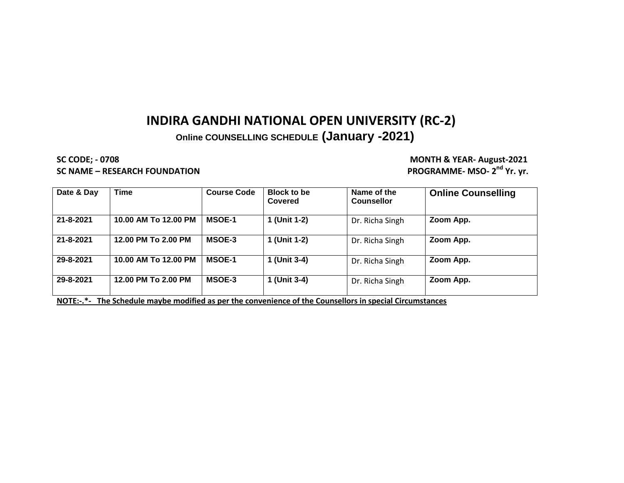**SC CODE; - 0708 MONTH & YEAR- August-2021 SC NAME – RESEARCH FOUNDATION** 

PROGRAMME- MSO- 2<sup>nd</sup> Yr. yr.

| Date & Day | <b>Time</b>          | <b>Course Code</b> | <b>Block to be</b><br>Covered | Name of the<br><b>Counsellor</b> | <b>Online Counselling</b> |
|------------|----------------------|--------------------|-------------------------------|----------------------------------|---------------------------|
| 21-8-2021  | 10.00 AM To 12.00 PM | <b>MSOE-1</b>      | 1 (Unit 1-2)                  | Dr. Richa Singh                  | Zoom App.                 |
| 21-8-2021  | 12.00 PM To 2.00 PM  | <b>MSOE-3</b>      | 1 (Unit 1-2)                  | Dr. Richa Singh                  | Zoom App.                 |
| 29-8-2021  | 10.00 AM To 12.00 PM | <b>MSOE-1</b>      | 1 (Unit 3-4)                  | Dr. Richa Singh                  | Zoom App.                 |
| 29-8-2021  | 12.00 PM To 2.00 PM  | <b>MSOE-3</b>      | 1 (Unit 3-4)                  | Dr. Richa Singh                  | Zoom App.                 |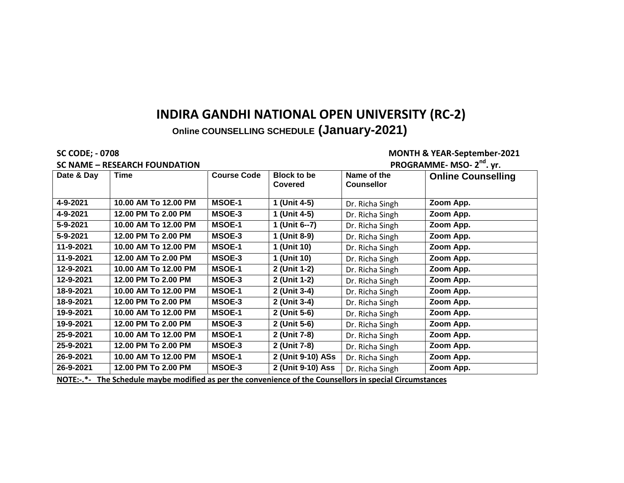**Online COUNSELLING SCHEDULE (January-2021)** 

**SC CODE; - 0708 MONTH & YEAR-September-2021**

|            | <b>SC NAME - RESEARCH FOUNDATION</b> | PROGRAMME- MSO- 2 <sup>nd</sup> . yr. |                                      |                                  |                           |
|------------|--------------------------------------|---------------------------------------|--------------------------------------|----------------------------------|---------------------------|
| Date & Day | Time                                 | <b>Course Code</b>                    | <b>Block to be</b><br><b>Covered</b> | Name of the<br><b>Counsellor</b> | <b>Online Counselling</b> |
| 4-9-2021   | 10.00 AM To 12.00 PM                 | <b>MSOE-1</b>                         | 1 (Unit 4-5)                         | Dr. Richa Singh                  | Zoom App.                 |
| 4-9-2021   | 12.00 PM To 2.00 PM                  | MSOE-3                                | 1 (Unit 4-5)                         | Dr. Richa Singh                  | Zoom App.                 |
| 5-9-2021   | 10.00 AM To 12.00 PM                 | <b>MSOE-1</b>                         | 1 (Unit 6--7)                        | Dr. Richa Singh                  | Zoom App.                 |
| 5-9-2021   | 12.00 PM To 2.00 PM                  | MSOE-3                                | 1 (Unit 8-9)                         | Dr. Richa Singh                  | Zoom App.                 |
| 11-9-2021  | 10.00 AM To 12.00 PM                 | <b>MSOE-1</b>                         | 1 (Unit 10)                          | Dr. Richa Singh                  | Zoom App.                 |
| 11-9-2021  | 12.00 AM To 2.00 PM                  | MSOE-3                                | 1 (Unit 10)                          | Dr. Richa Singh                  | Zoom App.                 |
| 12-9-2021  | 10.00 AM To 12.00 PM                 | <b>MSOE-1</b>                         | 2 (Unit 1-2)                         | Dr. Richa Singh                  | Zoom App.                 |
| 12-9-2021  | 12.00 PM To 2.00 PM                  | MSOE-3                                | 2 (Unit 1-2)                         | Dr. Richa Singh                  | Zoom App.                 |
| 18-9-2021  | 10.00 AM To 12.00 PM                 | <b>MSOE-1</b>                         | 2 (Unit 3-4)                         | Dr. Richa Singh                  | Zoom App.                 |
| 18-9-2021  | 12.00 PM To 2.00 PM                  | MSOE-3                                | 2 (Unit 3-4)                         | Dr. Richa Singh                  | Zoom App.                 |
| 19-9-2021  | 10.00 AM To 12.00 PM                 | <b>MSOE-1</b>                         | 2 (Unit 5-6)                         | Dr. Richa Singh                  | Zoom App.                 |
| 19-9-2021  | 12.00 PM To 2.00 PM                  | MSOE-3                                | 2 (Unit 5-6)                         | Dr. Richa Singh                  | Zoom App.                 |
| 25-9-2021  | 10.00 AM To 12.00 PM                 | <b>MSOE-1</b>                         | 2 (Unit 7-8)                         | Dr. Richa Singh                  | Zoom App.                 |
| 25-9-2021  | 12.00 PM To 2.00 PM                  | MSOE-3                                | 2 (Unit 7-8)                         | Dr. Richa Singh                  | Zoom App.                 |
| 26-9-2021  | 10.00 AM To 12.00 PM                 | <b>MSOE-1</b>                         | 2 (Unit 9-10) ASs                    | Dr. Richa Singh                  | Zoom App.                 |
| 26-9-2021  | 12.00 PM To 2.00 PM                  | MSOE-3                                | 2 (Unit 9-10) Ass                    | Dr. Richa Singh                  | Zoom App.                 |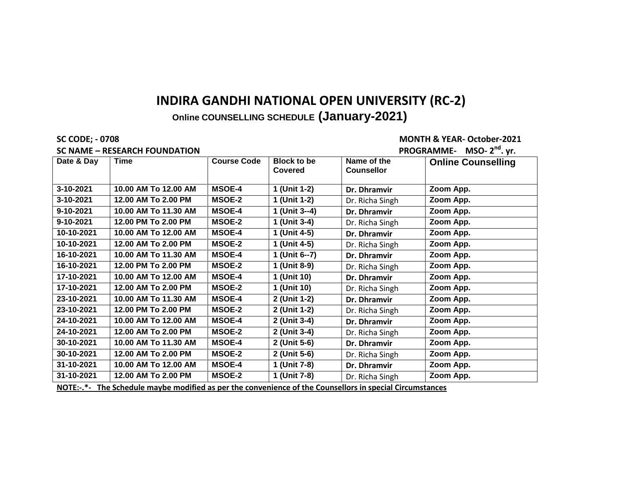## **Online COUNSELLING SCHEDULE (January-2021)**

#### **SC NAME – RESEARCH FOUNDATION PROGRAMME- MSO- 2**

#### **SC CODE; - 0708 MONTH & YEAR- October-2021**

|            | <b>SC NAME - RESEARCH FOUNDATION</b>                                                                     | PROGRAMME- MSO-2 <sup>nd</sup> . yr. |                               |                                  |                           |  |  |  |  |
|------------|----------------------------------------------------------------------------------------------------------|--------------------------------------|-------------------------------|----------------------------------|---------------------------|--|--|--|--|
| Date & Day | Time                                                                                                     | <b>Course Code</b>                   | <b>Block to be</b><br>Covered | Name of the<br><b>Counsellor</b> | <b>Online Counselling</b> |  |  |  |  |
| 3-10-2021  | 10.00 AM To 12.00 AM                                                                                     | <b>MSOE-4</b>                        | 1 (Unit 1-2)                  | Dr. Dhramvir                     | Zoom App.                 |  |  |  |  |
| 3-10-2021  | 12.00 AM To 2.00 PM                                                                                      | <b>MSOE-2</b>                        | 1 (Unit 1-2)                  | Dr. Richa Singh                  | Zoom App.                 |  |  |  |  |
| 9-10-2021  | 10.00 AM To 11.30 AM                                                                                     | <b>MSOE-4</b>                        | 1 (Unit 3--4)                 | Dr. Dhramvir                     | Zoom App.                 |  |  |  |  |
| 9-10-2021  | 12.00 PM To 2.00 PM                                                                                      | <b>MSOE-2</b>                        | 1 (Unit 3-4)                  | Dr. Richa Singh                  | Zoom App.                 |  |  |  |  |
| 10-10-2021 | 10.00 AM To 12.00 AM                                                                                     | <b>MSOE-4</b>                        | 1 (Unit 4-5)                  | Dr. Dhramvir                     | Zoom App.                 |  |  |  |  |
| 10-10-2021 | 12.00 AM To 2.00 PM                                                                                      | <b>MSOE-2</b>                        | 1 (Unit 4-5)                  | Dr. Richa Singh                  | Zoom App.                 |  |  |  |  |
| 16-10-2021 | 10.00 AM To 11.30 AM                                                                                     | <b>MSOE-4</b>                        | 1 (Unit 6--7)                 | Dr. Dhramvir                     | Zoom App.                 |  |  |  |  |
| 16-10-2021 | 12.00 PM To 2.00 PM                                                                                      | <b>MSOE-2</b>                        | 1 (Unit 8-9)                  | Dr. Richa Singh                  | Zoom App.                 |  |  |  |  |
| 17-10-2021 | 10.00 AM To 12.00 AM                                                                                     | <b>MSOE-4</b>                        | 1 (Unit 10)                   | Dr. Dhramvir                     | Zoom App.                 |  |  |  |  |
| 17-10-2021 | 12.00 AM To 2.00 PM                                                                                      | <b>MSOE-2</b>                        | 1 (Unit 10)                   | Dr. Richa Singh                  | Zoom App.                 |  |  |  |  |
| 23-10-2021 | 10.00 AM To 11.30 AM                                                                                     | <b>MSOE-4</b>                        | 2 (Unit 1-2)                  | Dr. Dhramvir                     | Zoom App.                 |  |  |  |  |
| 23-10-2021 | 12.00 PM To 2.00 PM                                                                                      | <b>MSOE-2</b>                        | 2 (Unit 1-2)                  | Dr. Richa Singh                  | Zoom App.                 |  |  |  |  |
| 24-10-2021 | 10.00 AM To 12.00 AM                                                                                     | <b>MSOE-4</b>                        | 2 (Unit 3-4)                  | Dr. Dhramvir                     | Zoom App.                 |  |  |  |  |
| 24-10-2021 | 12.00 AM To 2.00 PM                                                                                      | <b>MSOE-2</b>                        | 2 (Unit 3-4)                  | Dr. Richa Singh                  | Zoom App.                 |  |  |  |  |
| 30-10-2021 | 10.00 AM To 11.30 AM                                                                                     | <b>MSOE-4</b>                        | 2 (Unit 5-6)                  | Dr. Dhramvir                     | Zoom App.                 |  |  |  |  |
| 30-10-2021 | 12.00 AM To 2.00 PM                                                                                      | <b>MSOE-2</b>                        | 2 (Unit 5-6)                  | Dr. Richa Singh                  | Zoom App.                 |  |  |  |  |
| 31-10-2021 | 10.00 AM To 12.00 AM                                                                                     | <b>MSOE-4</b>                        | 1 (Unit 7-8)                  | Dr. Dhramvir                     | Zoom App.                 |  |  |  |  |
| 31-10-2021 | 12.00 AM To 2.00 PM                                                                                      | <b>MSOE-2</b>                        | 1 (Unit 7-8)                  | Dr. Richa Singh                  | Zoom App.                 |  |  |  |  |
|            | NOTE:-.*- The Schedule maybe modified as per the convenience of the Counsellors in special Circumstances |                                      |                               |                                  |                           |  |  |  |  |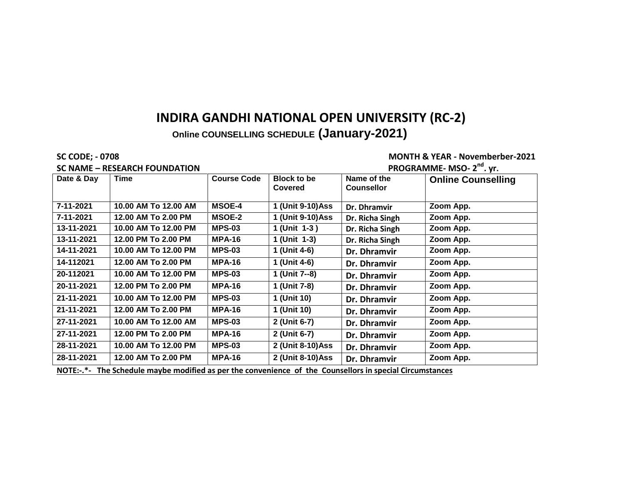**Online COUNSELLING SCHEDULE (January-2021)** 

#### **SC NAME – RESEARCH FOUNDATION**

**SC CODE; - 0708 MONTH & YEAR - Novemberber-2021**

|            | <b>SC NAME - RESEARCH FOUNDATION</b> | PROGRAMME- MSO- 2 <sup>nd</sup> . yr. |                               |                                  |                           |
|------------|--------------------------------------|---------------------------------------|-------------------------------|----------------------------------|---------------------------|
| Date & Day | Time                                 | <b>Course Code</b>                    | <b>Block to be</b><br>Covered | Name of the<br><b>Counsellor</b> | <b>Online Counselling</b> |
| 7-11-2021  | 10.00 AM To 12.00 AM                 | <b>MSOE-4</b>                         | 1 (Unit 9-10)Ass              | Dr. Dhramvir                     | Zoom App.                 |
| 7-11-2021  | 12.00 AM To 2.00 PM                  | <b>MSOE-2</b>                         | 1 (Unit 9-10)Ass              | Dr. Richa Singh                  | Zoom App.                 |
| 13-11-2021 | 10.00 AM To 12.00 PM                 | <b>MPS-03</b>                         | 1 (Unit 1-3)                  | Dr. Richa Singh                  | Zoom App.                 |
| 13-11-2021 | 12.00 PM To 2.00 PM                  | <b>MPA-16</b>                         | 1 (Unit 1-3)                  | Dr. Richa Singh                  | Zoom App.                 |
| 14-11-2021 | 10.00 AM To 12.00 PM                 | <b>MPS-03</b>                         | 1 (Unit 4-6)                  | Dr. Dhramvir                     | Zoom App.                 |
| 14-112021  | 12.00 AM To 2.00 PM                  | <b>MPA-16</b>                         | 1 (Unit 4-6)                  | Dr. Dhramvir                     | Zoom App.                 |
| 20-112021  | 10.00 AM To 12.00 PM                 | <b>MPS-03</b>                         | 1 (Unit 7--8)                 | Dr. Dhramvir                     | Zoom App.                 |
| 20-11-2021 | 12.00 PM To 2.00 PM                  | <b>MPA-16</b>                         | 1 (Unit 7-8)                  | Dr. Dhramvir                     | Zoom App.                 |
| 21-11-2021 | 10.00 AM To 12.00 PM                 | <b>MPS-03</b>                         | 1 (Unit 10)                   | Dr. Dhramvir                     | Zoom App.                 |
| 21-11-2021 | 12.00 AM To 2.00 PM                  | <b>MPA-16</b>                         | 1 (Unit 10)                   | Dr. Dhramvir                     | Zoom App.                 |
| 27-11-2021 | 10.00 AM To 12.00 AM                 | <b>MPS-03</b>                         | 2 (Unit 6-7)                  | Dr. Dhramvir                     | Zoom App.                 |
| 27-11-2021 | 12.00 PM To 2.00 PM                  | <b>MPA-16</b>                         | 2 (Unit 6-7)                  | Dr. Dhramvir                     | Zoom App.                 |
| 28-11-2021 | 10.00 AM To 12.00 PM                 | <b>MPS-03</b>                         | 2 (Unit 8-10)Ass              | Dr. Dhramvir                     | Zoom App.                 |
| 28-11-2021 | 12.00 AM To 2.00 PM                  | <b>MPA-16</b>                         | 2 (Unit 8-10)Ass              | Dr. Dhramvir                     | Zoom App.                 |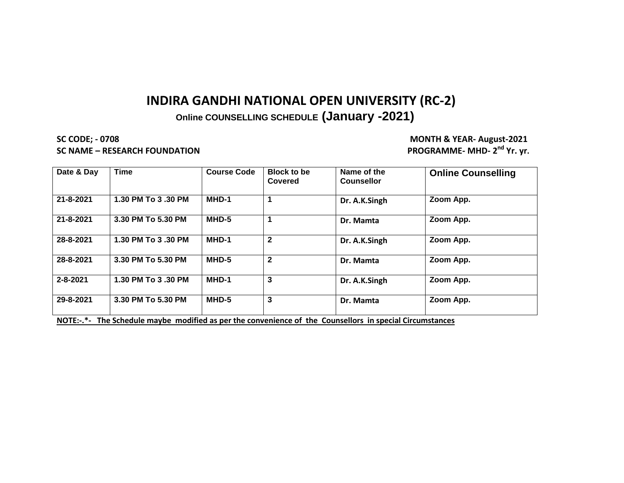### **Online COUNSELLING SCHEDULE (January -2021)**

**SC CODE; - 0708 MONTH & YEAR- August-2021 SC NAME – RESEARCH FOUNDATION** 

PROGRAMME- MHD- 2<sup>nd</sup> Yr. yr.

| Date & Day     | <b>Time</b>        | <b>Course Code</b> | <b>Block to be</b><br>Covered | Name of the<br><b>Counsellor</b> | <b>Online Counselling</b> |
|----------------|--------------------|--------------------|-------------------------------|----------------------------------|---------------------------|
| 21-8-2021      | 1.30 PM To 3.30 PM | MHD-1              |                               | Dr. A.K.Singh                    | Zoom App.                 |
| 21-8-2021      | 3.30 PM To 5.30 PM | MHD-5              |                               | Dr. Mamta                        | Zoom App.                 |
| 28-8-2021      | 1.30 PM To 3.30 PM | MHD-1              | $\overline{2}$                | Dr. A.K.Singh                    | Zoom App.                 |
| 28-8-2021      | 3.30 PM To 5.30 PM | MHD-5              | $\overline{2}$                | Dr. Mamta                        | Zoom App.                 |
| $2 - 8 - 2021$ | 1.30 PM To 3.30 PM | MHD-1              | 3                             | Dr. A.K.Singh                    | Zoom App.                 |
| 29-8-2021      | 3.30 PM To 5.30 PM | MHD-5              | 3                             | Dr. Mamta                        | Zoom App.                 |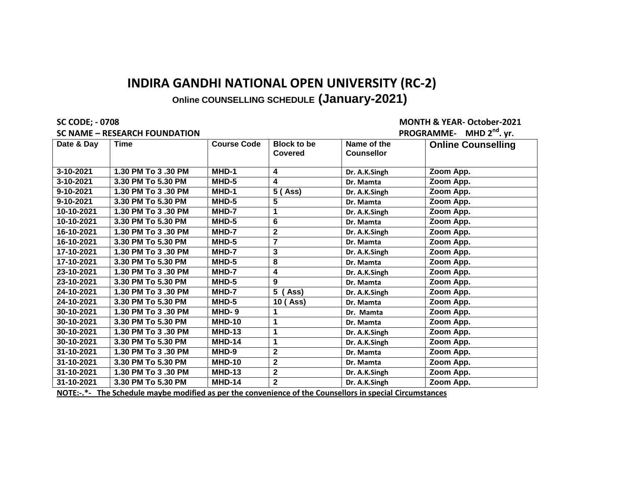**SC CODE; - 0708 MONTH & YEAR- October-2021**

|            | <b>SC NAME - RESEARCH FOUNDATION</b>                                                                          |                    | PROGRAMME- MHD 2 <sup>nd</sup> . yr. |                                  |                           |
|------------|---------------------------------------------------------------------------------------------------------------|--------------------|--------------------------------------|----------------------------------|---------------------------|
| Date & Day | Time                                                                                                          | <b>Course Code</b> | <b>Block to be</b><br>Covered        | Name of the<br><b>Counsellor</b> | <b>Online Counselling</b> |
| 3-10-2021  | 1.30 PM To 3.30 PM                                                                                            | MHD-1              | 4                                    | Dr. A.K.Singh                    | Zoom App.                 |
| 3-10-2021  | 3.30 PM To 5.30 PM                                                                                            | MHD-5              | 4                                    | Dr. Mamta                        | Zoom App.                 |
| 9-10-2021  | 1.30 PM To 3.30 PM                                                                                            | MHD-1              | 5 (Ass)                              | Dr. A.K.Singh                    | Zoom App.                 |
| 9-10-2021  | 3.30 PM To 5.30 PM                                                                                            | MHD-5              | 5                                    | Dr. Mamta                        | Zoom App.                 |
| 10-10-2021 | 1.30 PM To 3.30 PM                                                                                            | MHD-7              | 1                                    | Dr. A.K.Singh                    | Zoom App.                 |
| 10-10-2021 | 3.30 PM To 5.30 PM                                                                                            | MHD-5              | 6                                    | Dr. Mamta                        | Zoom App.                 |
| 16-10-2021 | 1.30 PM To 3.30 PM                                                                                            | MHD-7              | $\overline{\mathbf{2}}$              | Dr. A.K.Singh                    | Zoom App.                 |
| 16-10-2021 | 3.30 PM To 5.30 PM                                                                                            | MHD-5              | $\overline{7}$                       | Dr. Mamta                        | Zoom App.                 |
| 17-10-2021 | 1.30 PM To 3.30 PM                                                                                            | MHD-7              | 3                                    | Dr. A.K.Singh                    | Zoom App.                 |
| 17-10-2021 | 3.30 PM To 5.30 PM                                                                                            | MHD-5              | 8                                    | Dr. Mamta                        | Zoom App.                 |
| 23-10-2021 | 1.30 PM To 3.30 PM                                                                                            | MHD-7              | 4                                    | Dr. A.K.Singh                    | Zoom App.                 |
| 23-10-2021 | 3.30 PM To 5.30 PM                                                                                            | MHD-5              | 9                                    | Dr. Mamta                        | Zoom App.                 |
| 24-10-2021 | 1.30 PM To 3.30 PM                                                                                            | MHD-7              | 5<br>Ass)                            | Dr. A.K.Singh                    | Zoom App.                 |
| 24-10-2021 | 3.30 PM To 5.30 PM                                                                                            | MHD-5              | 10 (Ass)                             | Dr. Mamta                        | Zoom App.                 |
| 30-10-2021 | 1.30 PM To 3.30 PM                                                                                            | MHD-9              | 1                                    | Dr. Mamta                        | Zoom App.                 |
| 30-10-2021 | 3.30 PM To 5.30 PM                                                                                            | <b>MHD-10</b>      | 1                                    | Dr. Mamta                        | Zoom App.                 |
| 30-10-2021 | 1.30 PM To 3.30 PM                                                                                            | <b>MHD-13</b>      | 1                                    | Dr. A.K.Singh                    | Zoom App.                 |
| 30-10-2021 | 3.30 PM To 5.30 PM                                                                                            | <b>MHD-14</b>      | 1                                    | Dr. A.K.Singh                    | Zoom App.                 |
| 31-10-2021 | 1.30 PM To 3.30 PM                                                                                            | MHD-9              | 2                                    | Dr. Mamta                        | Zoom App.                 |
| 31-10-2021 | 3.30 PM To 5.30 PM                                                                                            | <b>MHD-10</b>      | $\mathbf{2}$                         | Dr. Mamta                        | Zoom App.                 |
| 31-10-2021 | 1.30 PM To 3.30 PM                                                                                            | <b>MHD-13</b>      | $\overline{\mathbf{2}}$              | Dr. A.K.Singh                    | Zoom App.                 |
| 31-10-2021 | 3.30 PM To 5.30 PM                                                                                            | <b>MHD-14</b>      | $\mathbf{2}$                         | Dr. A.K.Singh                    | Zoom App.                 |
|            | $MOTE_1$ , $*$ The Schodule maybe modified as nor the convenience of the Counsellors in special Circumstances |                    |                                      |                                  |                           |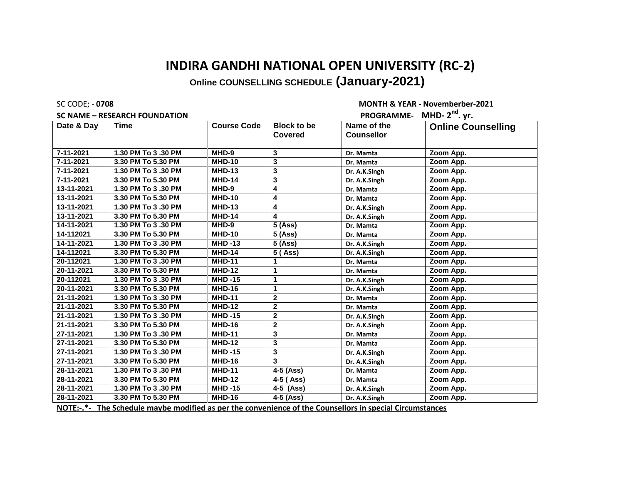#### **SC NAME - RESEARCH FOUNDATION**

SC CODE; - **0708 MONTH & YEAR - Novemberber-2021 DROCRAMME.** MHD. 2<sup>nd</sup> yr.

|                  | 3C IVAIVIE – NESEANCH FOOIVDATION                                                                                |                    | <b>FRUGRAMINIE IVINU'</b> 4 · YI. |                   |                           |
|------------------|------------------------------------------------------------------------------------------------------------------|--------------------|-----------------------------------|-------------------|---------------------------|
| Date & Day       | <b>Time</b>                                                                                                      | <b>Course Code</b> | <b>Block to be</b>                | Name of the       | <b>Online Counselling</b> |
|                  |                                                                                                                  |                    | <b>Covered</b>                    | <b>Counsellor</b> |                           |
|                  |                                                                                                                  |                    |                                   |                   |                           |
| 7-11-2021        | 1.30 PM To 3.30 PM                                                                                               | MHD-9              | 3                                 | Dr. Mamta         | Zoom App.                 |
| $7 - 11 - 2021$  | 3.30 PM To 5.30 PM                                                                                               | <b>MHD-10</b>      | 3                                 | Dr. Mamta         | Zoom App.                 |
| 7-11-2021        | 1.30 PM To 3.30 PM                                                                                               | <b>MHD-13</b>      | $\overline{\mathbf{3}}$           | Dr. A.K.Singh     | Zoom App.                 |
| 7-11-2021        | 3.30 PM To 5.30 PM                                                                                               | <b>MHD-14</b>      | 3                                 | Dr. A.K.Singh     | Zoom App.                 |
| 13-11-2021       | 1.30 PM To 3.30 PM                                                                                               | MHD-9              | 4                                 | Dr. Mamta         | Zoom App.                 |
| 13-11-2021       | 3.30 PM To 5.30 PM                                                                                               | <b>MHD-10</b>      | 4                                 | Dr. Mamta         | Zoom App.                 |
| 13-11-2021       | 1.30 PM To 3.30 PM                                                                                               | <b>MHD-13</b>      | 4                                 | Dr. A.K.Singh     | Zoom App.                 |
| 13-11-2021       | 3.30 PM To 5.30 PM                                                                                               | <b>MHD-14</b>      | 4                                 | Dr. A.K.Singh     | Zoom App.                 |
| 14-11-2021       | 1.30 PM To 3.30 PM                                                                                               | $MHD-9$            | 5 (Ass)                           | Dr. Mamta         | Zoom App.                 |
| 14-112021        | 3.30 PM To 5.30 PM                                                                                               | <b>MHD-10</b>      | 5 (Ass)                           | Dr. Mamta         | Zoom App.                 |
| 14-11-2021       | 1.30 PM To 3.30 PM                                                                                               | <b>MHD-13</b>      | 5 (Ass)                           | Dr. A.K.Singh     | Zoom App.                 |
| 14-112021        | 3.30 PM To 5.30 PM                                                                                               | <b>MHD-14</b>      | 5 (Ass)                           | Dr. A.K.Singh     | Zoom App.                 |
| 20-112021        | 1.30 PM To 3.30 PM                                                                                               | <b>MHD-11</b>      | 1                                 | Dr. Mamta         | Zoom App.                 |
| 20-11-2021       | 3.30 PM To 5.30 PM                                                                                               | <b>MHD-12</b>      | 1                                 | Dr. Mamta         | Zoom App.                 |
| 20-112021        | 1.30 PM To 3.30 PM                                                                                               | <b>MHD-15</b>      | 1                                 | Dr. A.K.Singh     | Zoom App.                 |
| 20-11-2021       | 3.30 PM To 5.30 PM                                                                                               | <b>MHD-16</b>      | 1                                 | Dr. A.K.Singh     | Zoom App.                 |
| 21-11-2021       | 1.30 PM To 3.30 PM                                                                                               | <b>MHD-11</b>      | $\mathbf{2}$                      | Dr. Mamta         | Zoom App.                 |
| $21 - 11 - 2021$ | 3.30 PM To 5.30 PM                                                                                               | <b>MHD-12</b>      | $\mathbf{2}$                      | Dr. Mamta         | Zoom App.                 |
| 21-11-2021       | 1.30 PM To 3.30 PM                                                                                               | <b>MHD-15</b>      | $\mathbf{2}$                      | Dr. A.K.Singh     | Zoom App.                 |
| 21-11-2021       | 3.30 PM To 5.30 PM                                                                                               | <b>MHD-16</b>      | $\mathbf{2}$                      | Dr. A.K.Singh     | Zoom App.                 |
| 27-11-2021       | 1.30 PM To 3.30 PM                                                                                               | <b>MHD-11</b>      | 3                                 | Dr. Mamta         | Zoom App.                 |
| 27-11-2021       | 3.30 PM To 5.30 PM                                                                                               | <b>MHD-12</b>      | 3                                 | Dr. Mamta         | Zoom App.                 |
| 27-11-2021       | 1.30 PM To 3.30 PM                                                                                               | <b>MHD-15</b>      | 3                                 | Dr. A.K.Singh     | Zoom App.                 |
| 27-11-2021       | 3.30 PM To 5.30 PM                                                                                               | <b>MHD-16</b>      | 3                                 | Dr. A.K.Singh     | Zoom App.                 |
| 28-11-2021       | 1.30 PM To 3.30 PM                                                                                               | <b>MHD-11</b>      | $\overline{4}$ -5 (Ass)           | Dr. Mamta         | Zoom App.                 |
| 28-11-2021       | 3.30 PM To 5.30 PM                                                                                               | <b>MHD-12</b>      | 4-5 (Ass)                         | Dr. Mamta         | Zoom App.                 |
| 28-11-2021       | 1.30 PM To 3.30 PM                                                                                               | <b>MHD-15</b>      | $\overline{4-5}$ (Ass)            | Dr. A.K.Singh     | Zoom App.                 |
| 28-11-2021       | 3.30 PM To 5.30 PM                                                                                               | <b>MHD-16</b>      | $4-5$ (Ass)                       | Dr. A.K.Singh     | Zoom App.                 |
|                  | $M$ OTE $\cdot$ * The Schodule maybe modified as nor the convenience of the Counsellers in special Circumstances |                    |                                   |                   |                           |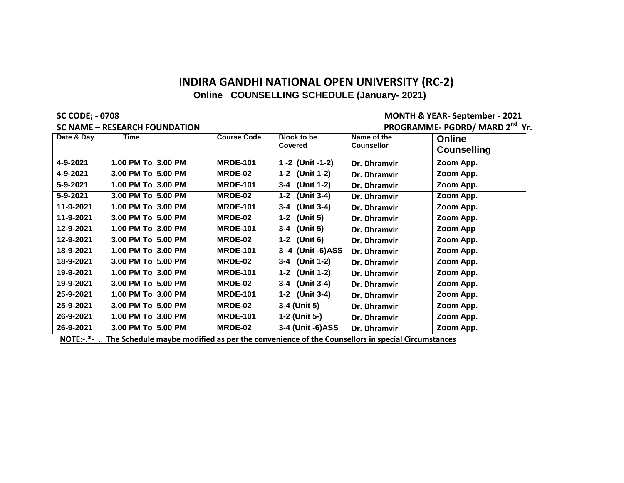**SC CODE; - 0708 MONTH & YEAR- September - 2021**

|            | <b>SC NAME - RESEARCH FOUNDATION</b> |                    | PROGRAMME- PGDRD/ MARD 2 <sup>nd</sup> Yr. |                                  |                              |
|------------|--------------------------------------|--------------------|--------------------------------------------|----------------------------------|------------------------------|
| Date & Day | Time                                 | <b>Course Code</b> | <b>Block to be</b><br>Covered              | Name of the<br><b>Counsellor</b> | Online<br><b>Counselling</b> |
| 4-9-2021   | 1.00 PM To 3.00 PM                   | <b>MRDE-101</b>    | 1 -2 (Unit -1-2)                           | Dr. Dhramvir                     | Zoom App.                    |
| 4-9-2021   | 3.00 PM To 5.00 PM                   | MRDE-02            | 1-2 (Unit 1-2)                             | Dr. Dhramvir                     | Zoom App.                    |
| 5-9-2021   | 1.00 PM To 3.00 PM                   | <b>MRDE-101</b>    | 3-4 (Unit 1-2)                             | Dr. Dhramvir                     | Zoom App.                    |
| 5-9-2021   | 3.00 PM To 5.00 PM                   | MRDE-02            | 1-2 (Unit 3-4)                             | Dr. Dhramvir                     | Zoom App.                    |
| 11-9-2021  | 1.00 PM To 3.00 PM                   | <b>MRDE-101</b>    | 3-4 (Unit 3-4)                             | Dr. Dhramvir                     | Zoom App.                    |
| 11-9-2021  | 3.00 PM To 5.00 PM                   | MRDE-02            | 1-2 (Unit 5)                               | Dr. Dhramvir                     | Zoom App.                    |
| 12-9-2021  | 1.00 PM To 3.00 PM                   | <b>MRDE-101</b>    | 3-4 (Unit 5)                               | Dr. Dhramvir                     | Zoom App                     |
| 12-9-2021  | 3.00 PM To 5.00 PM                   | MRDE-02            | 1-2 (Unit 6)                               | Dr. Dhramvir                     | Zoom App.                    |
| 18-9-2021  | 1.00 PM To 3.00 PM                   | <b>MRDE-101</b>    | 3-4 (Unit -6)ASS                           | Dr. Dhramvir                     | Zoom App.                    |
| 18-9-2021  | 3.00 PM To 5.00 PM                   | MRDE-02            | 3-4 (Unit 1-2)                             | Dr. Dhramvir                     | Zoom App.                    |
| 19-9-2021  | 1.00 PM To 3.00 PM                   | <b>MRDE-101</b>    | 1-2 (Unit 1-2)                             | Dr. Dhramvir                     | Zoom App.                    |
| 19-9-2021  | 3.00 PM To 5.00 PM                   | MRDE-02            | 3-4 (Unit 3-4)                             | Dr. Dhramvir                     | Zoom App.                    |
| 25-9-2021  | 1.00 PM To 3.00 PM                   | <b>MRDE-101</b>    | 1-2 (Unit 3-4)                             | Dr. Dhramvir                     | Zoom App.                    |
| 25-9-2021  | 3.00 PM To 5.00 PM                   | MRDE-02            | 3-4 (Unit 5)                               | Dr. Dhramvir                     | Zoom App.                    |
| 26-9-2021  | 1.00 PM To 3.00 PM                   | <b>MRDE-101</b>    | 1-2 (Unit 5-)                              | Dr. Dhramvir                     | Zoom App.                    |
| 26-9-2021  | 3.00 PM To 5.00 PM                   | MRDE-02            | 3-4 (Unit -6)ASS                           | Dr. Dhramvir                     | Zoom App.                    |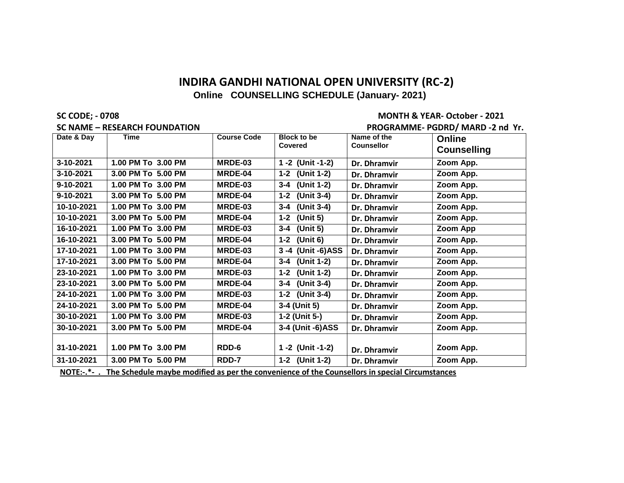**SC NAME – RESEARCH FOUNDATION PROGRAMME- PGDRD/ MARD -2 nd Yr.**

**SC CODE; - 0708 MONTH & YEAR- October - 2021**

|            | _____________________________                                                                            |                    |                                      |                                  | $\sim$                              |
|------------|----------------------------------------------------------------------------------------------------------|--------------------|--------------------------------------|----------------------------------|-------------------------------------|
| Date & Day | <b>Time</b>                                                                                              | <b>Course Code</b> | <b>Block to be</b><br><b>Covered</b> | Name of the<br><b>Counsellor</b> | <b>Online</b><br><b>Counselling</b> |
| 3-10-2021  | 1.00 PM To 3.00 PM                                                                                       | MRDE-03            | 1 -2 (Unit -1-2)                     | Dr. Dhramvir                     | Zoom App.                           |
| 3-10-2021  | 3.00 PM To 5.00 PM                                                                                       | MRDE-04            | 1-2 (Unit 1-2)                       | Dr. Dhramvir                     | Zoom App.                           |
| 9-10-2021  | 1.00 PM To 3.00 PM                                                                                       | MRDE-03            | 3-4 (Unit 1-2)                       | Dr. Dhramvir                     | Zoom App.                           |
| 9-10-2021  | 3.00 PM To 5.00 PM                                                                                       | MRDE-04            | 1-2 (Unit 3-4)                       | Dr. Dhramvir                     | Zoom App.                           |
| 10-10-2021 | 1.00 PM To 3.00 PM                                                                                       | MRDE-03            | 3-4 (Unit 3-4)                       | Dr. Dhramvir                     | Zoom App.                           |
| 10-10-2021 | 3.00 PM To 5.00 PM                                                                                       | MRDE-04            | 1-2 (Unit 5)                         | Dr. Dhramvir                     | Zoom App.                           |
| 16-10-2021 | 1.00 PM To 3.00 PM                                                                                       | MRDE-03            | $3-4$ (Unit 5)                       | Dr. Dhramvir                     | Zoom App                            |
| 16-10-2021 | 3.00 PM To 5.00 PM                                                                                       | MRDE-04            | 1-2 (Unit 6)                         | Dr. Dhramvir                     | Zoom App.                           |
| 17-10-2021 | 1.00 PM To 3.00 PM                                                                                       | MRDE-03            | 3-4 (Unit -6)ASS                     | Dr. Dhramvir                     | Zoom App.                           |
| 17-10-2021 | 3.00 PM To 5.00 PM                                                                                       | MRDE-04            | 3-4 (Unit 1-2)                       | Dr. Dhramvir                     | Zoom App.                           |
| 23-10-2021 | 1.00 PM To 3.00 PM                                                                                       | MRDE-03            | 1-2 (Unit 1-2)                       | Dr. Dhramvir                     | Zoom App.                           |
| 23-10-2021 | 3.00 PM To 5.00 PM                                                                                       | MRDE-04            | 3-4 (Unit 3-4)                       | Dr. Dhramvir                     | Zoom App.                           |
| 24-10-2021 | 1.00 PM To 3.00 PM                                                                                       | MRDE-03            | 1-2 (Unit 3-4)                       | Dr. Dhramvir                     | Zoom App.                           |
| 24-10-2021 | 3.00 PM To 5.00 PM                                                                                       | MRDE-04            | 3-4 (Unit 5)                         | Dr. Dhramvir                     | Zoom App.                           |
| 30-10-2021 | 1.00 PM To 3.00 PM                                                                                       | MRDE-03            | 1-2 (Unit 5-)                        | Dr. Dhramvir                     | Zoom App.                           |
| 30-10-2021 | 3.00 PM To 5.00 PM                                                                                       | MRDE-04            | 3-4 (Unit -6)ASS                     | Dr. Dhramvir                     | Zoom App.                           |
| 31-10-2021 | 1.00 PM To 3.00 PM                                                                                       | RDD-6              | 1 -2 (Unit -1-2)                     | Dr. Dhramvir                     | Zoom App.                           |
| 31-10-2021 | 3.00 PM To 5.00 PM                                                                                       | RDD-7              | 1-2 (Unit 1-2)                       | Dr. Dhramvir                     | Zoom App.                           |
|            | NOTE:-.*- The Schedule maybe modified as per the convenience of the Counsellors in special Circumstances |                    |                                      |                                  |                                     |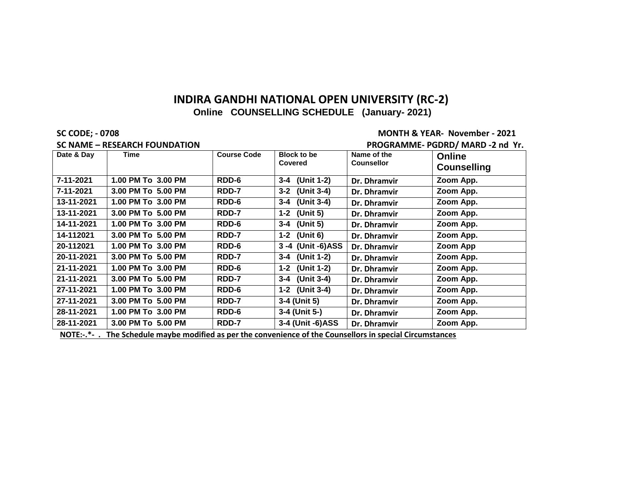#### **SC CODE; - 0708 MONTH & YEAR- November - 2021**

|            | <b>SC NAME - RESEARCH FOUNDATION</b>                                                                |                    | PROGRAMME- PGDRD/ MARD -2 nd Yr.     |                                  |                              |
|------------|-----------------------------------------------------------------------------------------------------|--------------------|--------------------------------------|----------------------------------|------------------------------|
| Date & Day | Time                                                                                                | <b>Course Code</b> | <b>Block to be</b><br><b>Covered</b> | Name of the<br><b>Counsellor</b> | Online<br><b>Counselling</b> |
| 7-11-2021  | 1.00 PM To 3.00 PM                                                                                  | RDD-6              | 3-4 (Unit 1-2)                       | Dr. Dhramvir                     | Zoom App.                    |
| 7-11-2021  | 3.00 PM To 5.00 PM                                                                                  | <b>RDD-7</b>       | 3-2 (Unit 3-4)                       | Dr. Dhramvir                     | Zoom App.                    |
| 13-11-2021 | 1.00 PM To 3.00 PM                                                                                  | RDD-6              | 3-4 (Unit 3-4)                       | Dr. Dhramvir                     | Zoom App.                    |
| 13-11-2021 | 3.00 PM To 5.00 PM                                                                                  | <b>RDD-7</b>       | 1-2 (Unit 5)                         | Dr. Dhramvir                     | Zoom App.                    |
| 14-11-2021 | 1.00 PM To 3.00 PM                                                                                  | RDD-6              | 3-4 (Unit 5)                         | Dr. Dhramvir                     | Zoom App.                    |
| 14-112021  | 3.00 PM To 5.00 PM                                                                                  | RDD-7              | 1-2 (Unit 6)                         | Dr. Dhramvir                     | Zoom App.                    |
| 20-112021  | 1.00 PM To 3.00 PM                                                                                  | RDD-6              | 3 -4 (Unit -6)ASS                    | Dr. Dhramvir                     | Zoom App                     |
| 20-11-2021 | 3.00 PM To 5.00 PM                                                                                  | RDD-7              | 3-4 (Unit 1-2)                       | Dr. Dhramvir                     | Zoom App.                    |
| 21-11-2021 | 1.00 PM To 3.00 PM                                                                                  | RDD-6              | 1-2 (Unit 1-2)                       | Dr. Dhramvir                     | Zoom App.                    |
| 21-11-2021 | 3.00 PM To 5.00 PM                                                                                  | RDD-7              | 3-4 (Unit 3-4)                       | Dr. Dhramvir                     | Zoom App.                    |
| 27-11-2021 | 1.00 PM To 3.00 PM                                                                                  | RDD-6              | 1-2 (Unit 3-4)                       | Dr. Dhramvir                     | Zoom App.                    |
| 27-11-2021 | 3.00 PM To 5.00 PM                                                                                  | RDD-7              | 3-4 (Unit 5)                         | Dr. Dhramvir                     | Zoom App.                    |
| 28-11-2021 | 1.00 PM To 3.00 PM                                                                                  | RDD-6              | 3-4 (Unit 5-)                        | Dr. Dhramvir                     | Zoom App.                    |
| 28-11-2021 | 3.00 PM To 5.00 PM                                                                                  | RDD-7              | 3-4 (Unit -6)ASS                     | Dr. Dhramvir                     | Zoom App.                    |
| $M = 2$    | The Celebrated member of all the leadership commutered of the Commonlight in consider Charmonic and |                    |                                      |                                  |                              |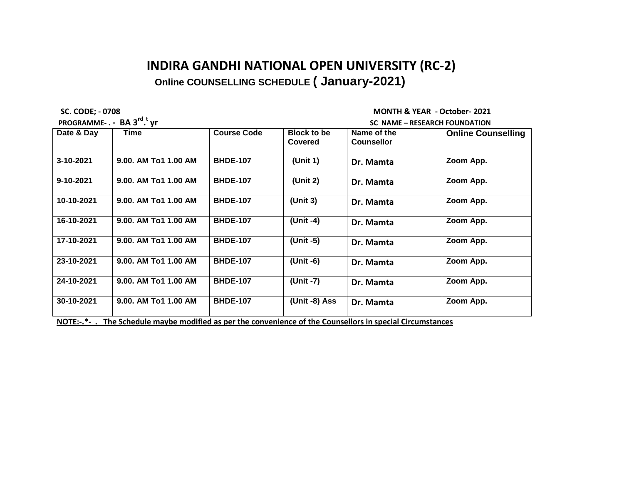**PROGRAMME- . - BA 3rd . t**

 **SC. CODE; - 0708 MONTH & YEAR - October- 2021**

| PROGRAMME-. - BA 3 <sup>rd</sup> . <sup>t</sup> yr                                                       |                      |                    |                               | SC NAME – RESEARCH FOUNDATION    |                           |  |
|----------------------------------------------------------------------------------------------------------|----------------------|--------------------|-------------------------------|----------------------------------|---------------------------|--|
| Date & Day                                                                                               | Time                 | <b>Course Code</b> | <b>Block to be</b><br>Covered | Name of the<br><b>Counsellor</b> | <b>Online Counselling</b> |  |
| 3-10-2021                                                                                                | 9.00. AM To1 1.00 AM | <b>BHDE-107</b>    | (Unit 1)                      | Dr. Mamta                        | Zoom App.                 |  |
| 9-10-2021                                                                                                | 9.00. AM To1 1.00 AM | <b>BHDE-107</b>    | (Unit 2)                      | Dr. Mamta                        | Zoom App.                 |  |
| 10-10-2021                                                                                               | 9.00. AM To1 1.00 AM | <b>BHDE-107</b>    | (Unit 3)                      | Dr. Mamta                        | Zoom App.                 |  |
| 16-10-2021                                                                                               | 9.00. AM To1 1.00 AM | <b>BHDE-107</b>    | (Unit -4)                     | Dr. Mamta                        | Zoom App.                 |  |
| 17-10-2021                                                                                               | 9.00. AM To1 1.00 AM | <b>BHDE-107</b>    | (Unit -5)                     | Dr. Mamta                        | Zoom App.                 |  |
| 23-10-2021                                                                                               | 9.00. AM To1 1.00 AM | <b>BHDE-107</b>    | (Unit -6)                     | Dr. Mamta                        | Zoom App.                 |  |
| 24-10-2021                                                                                               | 9.00. AM To1 1.00 AM | <b>BHDE-107</b>    | (Unit -7)                     | Dr. Mamta                        | Zoom App.                 |  |
| 30-10-2021                                                                                               | 9.00. AM To1 1.00 AM | <b>BHDE-107</b>    | (Unit -8) Ass                 | Dr. Mamta                        | Zoom App.                 |  |
| NOTE:-.*- The Schedule maybe modified as per the convenience of the Counsellors in special Circumstances |                      |                    |                               |                                  |                           |  |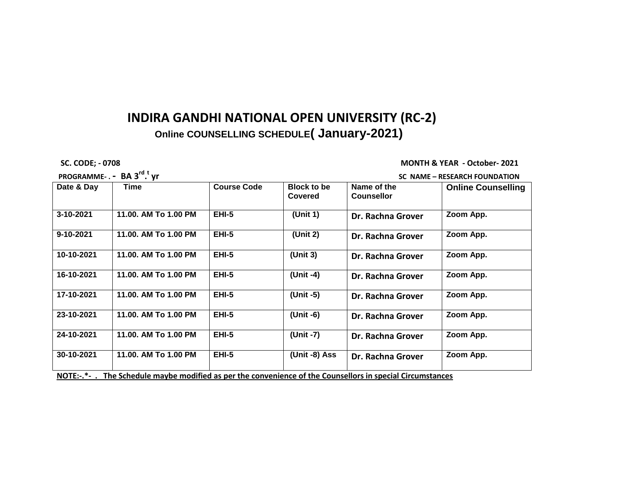**PROGRAMME- . - BA 3rd . t**

#### **SC. CODE; - 0708 MONTH & YEAR - October- 2021**

#### **yr SC NAME – RESEARCH FOUNDATION**

| Date & Day | Time                                                                                                     | <b>Course Code</b> | <b>Block to be</b><br><b>Covered</b> | Name of the<br><b>Counsellor</b> | <b>Online Counselling</b> |
|------------|----------------------------------------------------------------------------------------------------------|--------------------|--------------------------------------|----------------------------------|---------------------------|
| 3-10-2021  | 11.00. AM To 1.00 PM                                                                                     | EHI-5              | (Unit 1)                             | Dr. Rachna Grover                | Zoom App.                 |
| 9-10-2021  | 11.00. AM To 1.00 PM                                                                                     | <b>EHI-5</b>       | (Unit 2)                             | Dr. Rachna Grover                | Zoom App.                 |
| 10-10-2021 | 11.00. AM To 1.00 PM                                                                                     | <b>EHI-5</b>       | (Unit $3$ )                          | Dr. Rachna Grover                | Zoom App.                 |
| 16-10-2021 | 11.00. AM To 1.00 PM                                                                                     | <b>EHI-5</b>       | (Unit -4)                            | Dr. Rachna Grover                | Zoom App.                 |
| 17-10-2021 | 11.00. AM To 1.00 PM                                                                                     | <b>EHI-5</b>       | (Unit -5)                            | Dr. Rachna Grover                | Zoom App.                 |
| 23-10-2021 | 11.00. AM To 1.00 PM                                                                                     | <b>EHI-5</b>       | (Unit -6)                            | Dr. Rachna Grover                | Zoom App.                 |
| 24-10-2021 | 11.00. AM To 1.00 PM                                                                                     | <b>EHI-5</b>       | (Unit -7)                            | Dr. Rachna Grover                | Zoom App.                 |
| 30-10-2021 | 11.00. AM To 1.00 PM                                                                                     | <b>EHI-5</b>       | (Unit -8) Ass                        | Dr. Rachna Grover                | Zoom App.                 |
|            | NOTE:-.*- The Schedule maybe modified as per the convenience of the Counsellors in special Circumstances |                    |                                      |                                  |                           |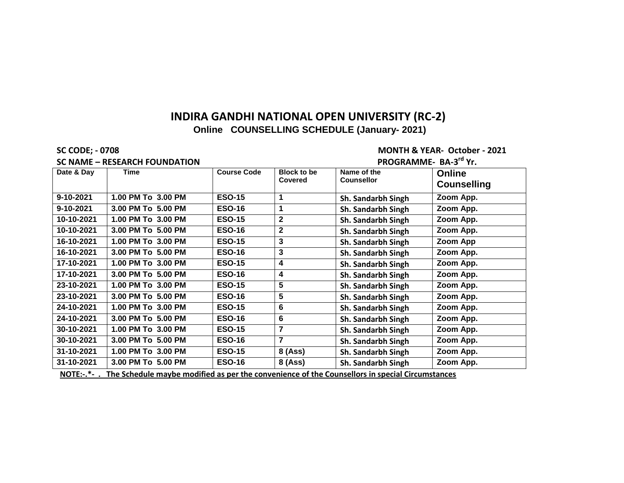**SC NAME – RESEARCH FOUNDATION** 

#### **SC CODE; - 0708 MONTH & YEAR- October - 2021 PROGRAMME- BA-3<sup>rd</sup> Yr.**

| Date & Day             | <b>Time</b>                                                                                                          | <b>Course Code</b> | <b>Block to be</b><br><b>Covered</b> | Name of the<br><b>Counsellor</b> | <b>Online</b><br><b>Counselling</b> |
|------------------------|----------------------------------------------------------------------------------------------------------------------|--------------------|--------------------------------------|----------------------------------|-------------------------------------|
| 9-10-2021              | 1.00 PM To 3.00 PM                                                                                                   | <b>ESO-15</b>      |                                      | Sh. Sandarbh Singh               | Zoom App.                           |
| 9-10-2021              | 3.00 PM To 5.00 PM                                                                                                   | <b>ESO-16</b>      | 1                                    | Sh. Sandarbh Singh               | Zoom App.                           |
| 10-10-2021             | 1.00 PM To 3.00 PM                                                                                                   | <b>ESO-15</b>      | $\mathbf{2}$                         | Sh. Sandarbh Singh               | Zoom App.                           |
| 10-10-2021             | 3.00 PM To 5.00 PM                                                                                                   | <b>ESO-16</b>      | $\mathbf{2}$                         | Sh. Sandarbh Singh               | Zoom App.                           |
| 16-10-2021             | 1.00 PM To 3.00 PM                                                                                                   | <b>ESO-15</b>      | 3                                    | Sh. Sandarbh Singh               | Zoom App                            |
| 16-10-2021             | 3.00 PM To 5.00 PM                                                                                                   | <b>ESO-16</b>      | 3                                    | Sh. Sandarbh Singh               | Zoom App.                           |
| 17-10-2021             | 1.00 PM To 3.00 PM                                                                                                   | <b>ESO-15</b>      | 4                                    | Sh. Sandarbh Singh               | Zoom App.                           |
| 17-10-2021             | 3.00 PM To 5.00 PM                                                                                                   | <b>ESO-16</b>      | 4                                    | Sh. Sandarbh Singh               | Zoom App.                           |
| 23-10-2021             | 1.00 PM To 3.00 PM                                                                                                   | <b>ESO-15</b>      | 5                                    | Sh. Sandarbh Singh               | Zoom App.                           |
| 23-10-2021             | 3.00 PM To 5.00 PM                                                                                                   | <b>ESO-16</b>      | 5                                    | Sh. Sandarbh Singh               | Zoom App.                           |
| 24-10-2021             | 1.00 PM To 3.00 PM                                                                                                   | <b>ESO-15</b>      | 6                                    | Sh. Sandarbh Singh               | Zoom App.                           |
| 24-10-2021             | 3.00 PM To 5.00 PM                                                                                                   | <b>ESO-16</b>      | 6                                    | Sh. Sandarbh Singh               | Zoom App.                           |
| 30-10-2021             | 1.00 PM To 3.00 PM                                                                                                   | <b>ESO-15</b>      | $\overline{7}$                       | Sh. Sandarbh Singh               | Zoom App.                           |
| 30-10-2021             | 3.00 PM To 5.00 PM                                                                                                   | <b>ESO-16</b>      | $\overline{7}$                       | Sh. Sandarbh Singh               | Zoom App.                           |
| 31-10-2021             | 1.00 PM To 3.00 PM                                                                                                   | <b>ESO-15</b>      | 8 (Ass)                              | Sh. Sandarbh Singh               | Zoom App.                           |
| 31-10-2021<br>**^TE. * | 3.00 PM To 5.00 PM<br>The Celeral de marrier markling as member commutered of the Commelland in medici Cincometerate | <b>ESO-16</b>      | 8 (Ass)                              | Sh. Sandarbh Singh               | Zoom App.                           |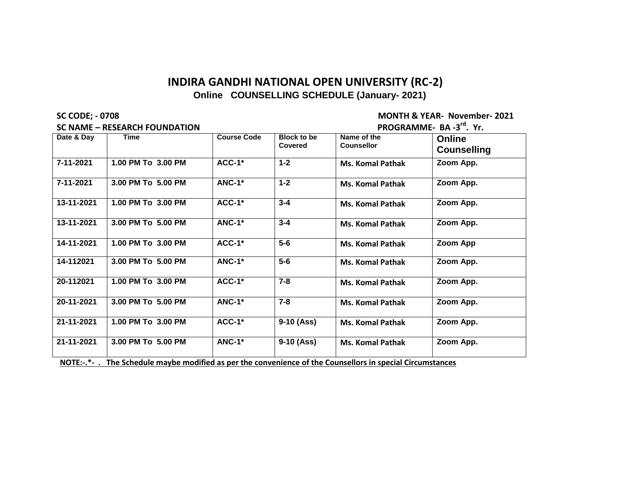**SC NAME – RESEARCH FOUNDATION** 

**SC CODE; - 0708 MONTH & YEAR- November- 2021 rd . Yr.**

| Date & Day | <b>Time</b>        | <b>Course Code</b> | <b>Block to be</b><br>Covered | Name of the<br><b>Counsellor</b> | <b>Online</b><br><b>Counselling</b> |
|------------|--------------------|--------------------|-------------------------------|----------------------------------|-------------------------------------|
| 7-11-2021  | 1.00 PM To 3.00 PM | $ACC-1*$           | $1 - 2$                       | <b>Ms. Komal Pathak</b>          | Zoom App.                           |
| 7-11-2021  | 3.00 PM To 5.00 PM | $ANC-1*$           | $1 - 2$                       | <b>Ms. Komal Pathak</b>          | Zoom App.                           |
| 13-11-2021 | 1.00 PM To 3.00 PM | $ACC-1*$           | $3 - 4$                       | <b>Ms. Komal Pathak</b>          | Zoom App.                           |
| 13-11-2021 | 3.00 PM To 5.00 PM | $ANC-1*$           | $3 - 4$                       | <b>Ms. Komal Pathak</b>          | Zoom App.                           |
| 14-11-2021 | 1.00 PM To 3.00 PM | $ACC-1*$           | $5-6$                         | <b>Ms. Komal Pathak</b>          | Zoom App                            |
| 14-112021  | 3.00 PM To 5.00 PM | $ANC-1*$           | $5-6$                         | <b>Ms. Komal Pathak</b>          | Zoom App.                           |
| 20-112021  | 1.00 PM To 3.00 PM | $ACC-1*$           | $7 - 8$                       | <b>Ms. Komal Pathak</b>          | Zoom App.                           |
| 20-11-2021 | 3.00 PM To 5.00 PM | <b>ANC-1*</b>      | $7 - 8$                       | <b>Ms. Komal Pathak</b>          | Zoom App.                           |
| 21-11-2021 | 1.00 PM To 3.00 PM | $ACC-1*$           | $9-10$ (Ass)                  | <b>Ms. Komal Pathak</b>          | Zoom App.                           |
| 21-11-2021 | 3.00 PM To 5.00 PM | <b>ANC-1*</b>      | $9-10$ (Ass)                  | <b>Ms. Komal Pathak</b>          | Zoom App.                           |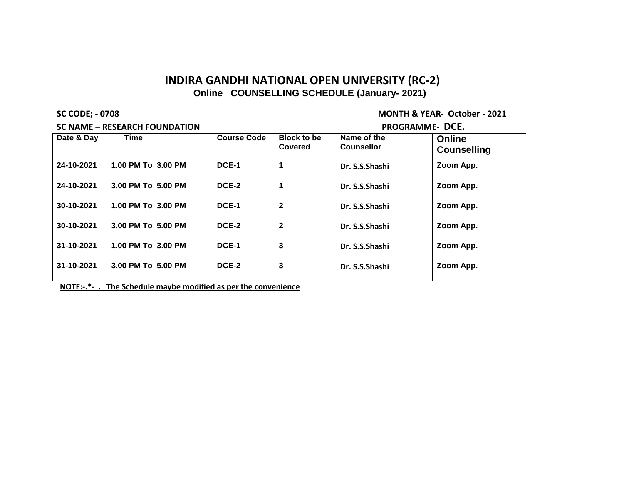**SC NAME – RESEARCH FOUNDATION PROGRAMME- DCE.**

**SC CODE; - 0708 MONTH & YEAR- October - 2021**

| Date & Day | Time               | <b>Course Code</b> | Block to be<br>Covered | Name of the<br><b>Counsellor</b> | <b>Online</b><br><b>Counselling</b> |
|------------|--------------------|--------------------|------------------------|----------------------------------|-------------------------------------|
| 24-10-2021 | 1.00 PM To 3.00 PM | DCE-1              |                        | Dr. S.S.Shashi                   | Zoom App.                           |
| 24-10-2021 | 3.00 PM To 5.00 PM | DCE-2              |                        | Dr. S.S.Shashi                   | Zoom App.                           |
| 30-10-2021 | 1.00 PM To 3.00 PM | DCE-1              | $\mathbf{2}$           | Dr. S.S.Shashi                   | Zoom App.                           |
| 30-10-2021 | 3.00 PM To 5.00 PM | DCE-2              | $\mathbf{2}$           | Dr. S.S.Shashi                   | Zoom App.                           |
| 31-10-2021 | 1.00 PM To 3.00 PM | DCE-1              | 3                      | Dr. S.S.Shashi                   | Zoom App.                           |
| 31-10-2021 | 3.00 PM To 5.00 PM | DCE-2              | 3                      | Dr. S.S.Shashi                   | Zoom App.                           |

**NOTE:-.\*- . The Schedule maybe modified as per the convenience**